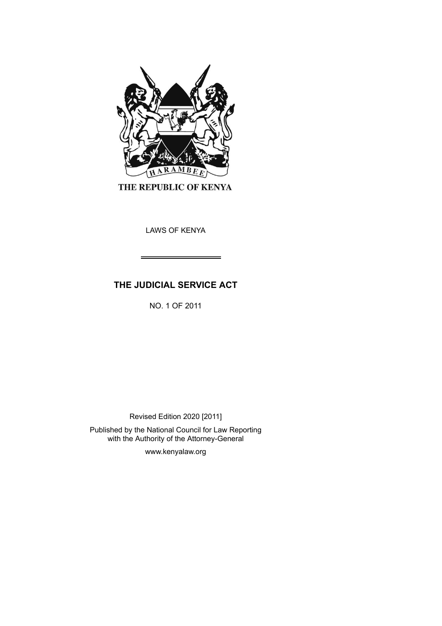

THE REPUBLIC OF KENYA

LAWS OF KENYA

# **THE JUDICIAL SERVICE ACT**

NO. 1 OF 2011

Revised Edition 2020 [2011]

Published by the National Council for Law Reporting with the Authority of the Attorney-General

www.kenyalaw.org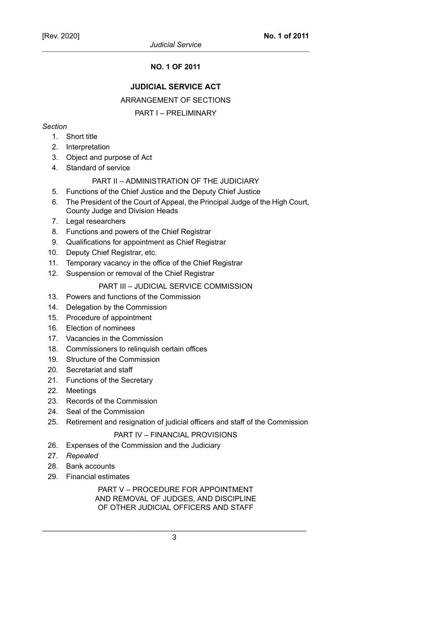# **NO. 1 OF 2011**

# **JUDICIAL SERVICE ACT**

# ARRANGEMENT OF SECTIONS

# PART I – PRELIMINARY

# *Section*

- 1. Short title
- 2. Interpretation
- 3. Object and purpose of Act
- 4. Standard of service

# PART II – ADMINISTRATION OF THE JUDICIARY

- 5. Functions of the Chief Justice and the Deputy Chief Justice
- 6. The President of the Court of Appeal, the Principal Judge of the High Court, County Judge and Division Heads
- 7. Legal researchers
- 8. Functions and powers of the Chief Registrar
- 9. Qualifications for appointment as Chief Registrar
- 10. Deputy Chief Registrar, etc.
- 11. Temporary vacancy in the office of the Chief Registrar
- 12. Suspension or removal of the Chief Registrar

# PART III – JUDICIAL SERVICE COMMISSION

- 13. Powers and functions of the Commission
- 14. Delegation by the Commission
- 15. Procedure of appointment
- 16. Election of nominees
- 17. Vacancies in the Commission
- 18. Commissioners to relinquish certain offices
- 19. Structure of the Commission
- 20. Secretariat and staff
- 21. Functions of the Secretary
- 22. Meetings
- 23. Records of the Commission
- 24. Seal of the Commission
- 25. Retirement and resignation of judicial officers and staff of the Commission

# PART IV – FINANCIAL PROVISIONS

- 26. Expenses of the Commission and the Judiciary
- 27. *Repealed*
- 28. Bank accounts
- 29. Financial estimates

# PART V – PROCEDURE FOR APPOINTMENT AND REMOVAL OF JUDGES, AND DISCIPLINE OF OTHER JUDICIAL OFFICERS AND STAFF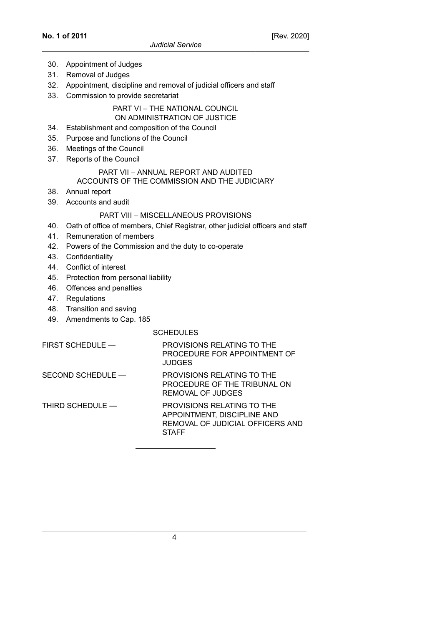- 30. Appointment of Judges
- 31. Removal of Judges
- 32. Appointment, discipline and removal of judicial officers and staff
- 33. Commission to provide secretariat

# PART VI – THE NATIONAL COUNCIL ON ADMINISTRATION OF JUSTICE

- 34. Establishment and composition of the Council
- 35. Purpose and functions of the Council
- 36. Meetings of the Council
- 37. Reports of the Council

### PART VII – ANNUAL REPORT AND AUDITED ACCOUNTS OF THE COMMISSION AND THE JUDICIARY

- 38. Annual report
- 39. Accounts and audit

# PART VIII – MISCELLANEOUS PROVISIONS

- 40. Oath of office of members, Chief Registrar, other judicial officers and staff
- 41. Remuneration of members
- 42. Powers of the Commission and the duty to co-operate
- 43. Confidentiality
- 44. Conflict of interest
- 45. Protection from personal liability
- 46. Offences and penalties
- 47. Regulations
- 48. Transition and saving
- 49. Amendments to Cap. 185

# **SCHEDULES**

| FIRST SCHEDULE —  | PROVISIONS RELATING TO THE<br>PROCEDURE FOR APPOINTMENT OF<br><b>JUDGES</b>                                   |
|-------------------|---------------------------------------------------------------------------------------------------------------|
| SECOND SCHEDULE - | PROVISIONS RELATING TO THE<br>PROCEDURE OF THE TRIBUNAL ON<br>REMOVAL OF JUDGES                               |
| THIRD SCHEDULE -  | PROVISIONS RELATING TO THE<br>APPOINTMENT, DISCIPLINE AND<br>REMOVAL OF JUDICIAL OFFICERS AND<br><b>STAFF</b> |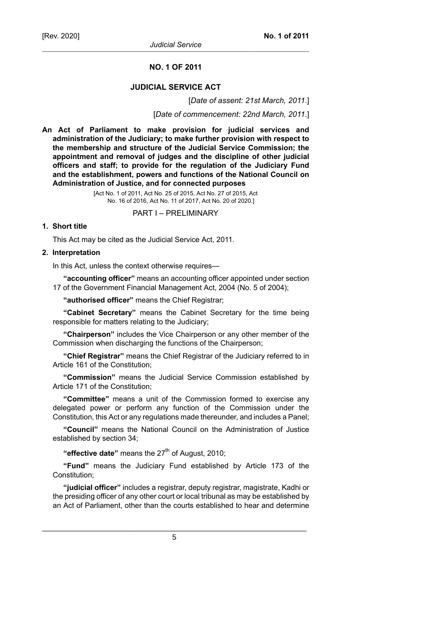*Judicial Service*

### **NO. 1 OF 2011**

# **JUDICIAL SERVICE ACT**

[*Date of assent: 21st March, 2011*.]

[*Date of commencement: 22nd March, 2011*.]

**An Act of Parliament to make provision for judicial services and administration of the Judiciary; to make further provision with respect to the membership and structure of the Judicial Service Commission; the appointment and removal of judges and the discipline of other judicial officers and staff; to provide for the regulation of the Judiciary Fund and the establishment, powers and functions of the National Council on Administration of Justice, and for connected purposes**

> [Act No. 1 of 2011, Act No. 25 of 2015, Act No. 27 of 2015, Act No. 16 of 2016, Act No. 11 of 2017, Act No. 20 of 2020.]

> > PART I – PRELIMINARY

# **1. Short title**

This Act may be cited as the Judicial Service Act, 2011.

#### **2. Interpretation**

In this Act, unless the context otherwise requires—

**"accounting officer"** means an accounting officer appointed under section 17 of the Government Financial Management Act, 2004 (No. 5 of 2004);

**"authorised officer"** means the Chief Registrar;

**"Cabinet Secretary"** means the Cabinet Secretary for the time being responsible for matters relating to the Judiciary;

**"Chairperson"** includes the Vice Chairperson or any other member of the Commission when discharging the functions of the Chairperson;

**"Chief Registrar"** means the Chief Registrar of the Judiciary referred to in Article 161 of the Constitution;

**"Commission"** means the Judicial Service Commission established by Article 171 of the Constitution;

**"Committee"** means a unit of the Commission formed to exercise any delegated power or perform any function of the Commission under the Constitution, this Act or any regulations made thereunder, and includes a Panel;

**"Council"** means the National Council on the Administration of Justice established by section 34;

"**effective date**" means the 27<sup>th</sup> of August, 2010;

**"Fund"** means the Judiciary Fund established by Article 173 of the Constitution;

**"judicial officer"** includes a registrar, deputy registrar, magistrate, Kadhi or the presiding officer of any other court or local tribunal as may be established by an Act of Parliament, other than the courts established to hear and determine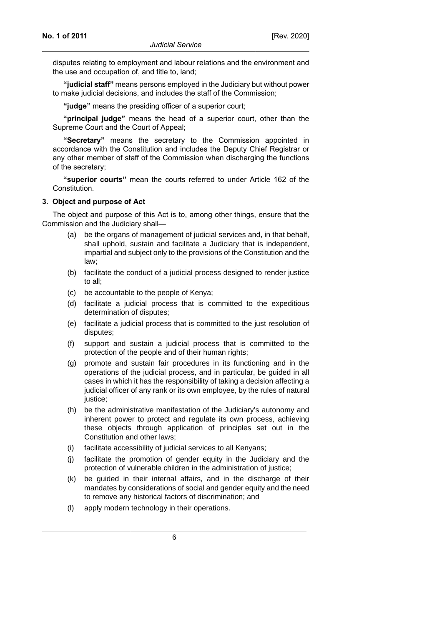disputes relating to employment and labour relations and the environment and the use and occupation of, and title to, land;

**"judicial staff"** means persons employed in the Judiciary but without power to make judicial decisions, and includes the staff of the Commission;

**"judge"** means the presiding officer of a superior court;

**"principal judge"** means the head of a superior court, other than the Supreme Court and the Court of Appeal;

**"Secretary"** means the secretary to the Commission appointed in accordance with the Constitution and includes the Deputy Chief Registrar or any other member of staff of the Commission when discharging the functions of the secretary;

**"superior courts"** mean the courts referred to under Article 162 of the Constitution.

#### **3. Object and purpose of Act**

The object and purpose of this Act is to, among other things, ensure that the Commission and the Judiciary shall—

- (a) be the organs of management of judicial services and, in that behalf, shall uphold, sustain and facilitate a Judiciary that is independent, impartial and subject only to the provisions of the Constitution and the law;
- (b) facilitate the conduct of a judicial process designed to render justice to all;
- (c) be accountable to the people of Kenya;
- (d) facilitate a judicial process that is committed to the expeditious determination of disputes;
- (e) facilitate a judicial process that is committed to the just resolution of disputes;
- (f) support and sustain a judicial process that is committed to the protection of the people and of their human rights;
- (g) promote and sustain fair procedures in its functioning and in the operations of the judicial process, and in particular, be guided in all cases in which it has the responsibility of taking a decision affecting a judicial officer of any rank or its own employee, by the rules of natural justice;
- (h) be the administrative manifestation of the Judiciary's autonomy and inherent power to protect and regulate its own process, achieving these objects through application of principles set out in the Constitution and other laws;
- (i) facilitate accessibility of judicial services to all Kenyans;
- (j) facilitate the promotion of gender equity in the Judiciary and the protection of vulnerable children in the administration of justice;
- (k) be guided in their internal affairs, and in the discharge of their mandates by considerations of social and gender equity and the need to remove any historical factors of discrimination; and
- (l) apply modern technology in their operations.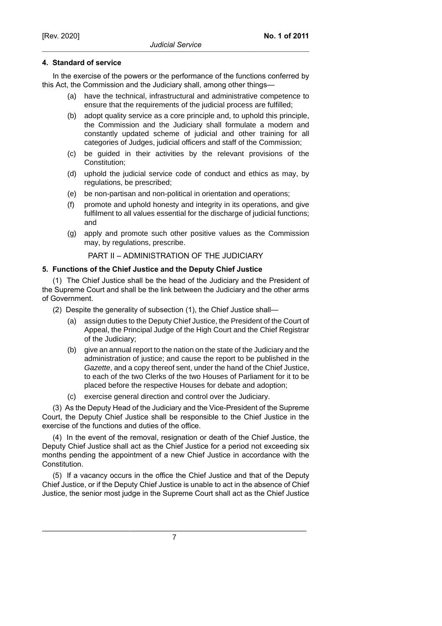# **4. Standard of service**

In the exercise of the powers or the performance of the functions conferred by this Act, the Commission and the Judiciary shall, among other things—

- (a) have the technical, infrastructural and administrative competence to ensure that the requirements of the judicial process are fulfilled;
- (b) adopt quality service as a core principle and, to uphold this principle, the Commission and the Judiciary shall formulate a modern and constantly updated scheme of judicial and other training for all categories of Judges, judicial officers and staff of the Commission;
- (c) be guided in their activities by the relevant provisions of the Constitution;
- (d) uphold the judicial service code of conduct and ethics as may, by regulations, be prescribed;
- (e) be non-partisan and non-political in orientation and operations;
- (f) promote and uphold honesty and integrity in its operations, and give fulfilment to all values essential for the discharge of judicial functions; and
- (g) apply and promote such other positive values as the Commission may, by regulations, prescribe.

PART II – ADMINISTRATION OF THE JUDICIARY

# **5. Functions of the Chief Justice and the Deputy Chief Justice**

(1) The Chief Justice shall be the head of the Judiciary and the President of the Supreme Court and shall be the link between the Judiciary and the other arms of Government.

- (2) Despite the generality of subsection (1), the Chief Justice shall—
	- (a) assign duties to the Deputy Chief Justice, the President of the Court of Appeal, the Principal Judge of the High Court and the Chief Registrar of the Judiciary;
	- (b) give an annual report to the nation on the state of the Judiciary and the administration of justice; and cause the report to be published in the Gazette, and a copy thereof sent, under the hand of the Chief Justice, to each of the two Clerks of the two Houses of Parliament for it to be placed before the respective Houses for debate and adoption;
	- (c) exercise general direction and control over the Judiciary.

(3) As the Deputy Head of the Judiciary and the Vice-President of the Supreme Court, the Deputy Chief Justice shall be responsible to the Chief Justice in the exercise of the functions and duties of the office.

(4) In the event of the removal, resignation or death of the Chief Justice, the Deputy Chief Justice shall act as the Chief Justice for a period not exceeding six months pending the appointment of a new Chief Justice in accordance with the Constitution.

(5) If a vacancy occurs in the office the Chief Justice and that of the Deputy Chief Justice, or if the Deputy Chief Justice is unable to act in the absence of Chief Justice, the senior most judge in the Supreme Court shall act as the Chief Justice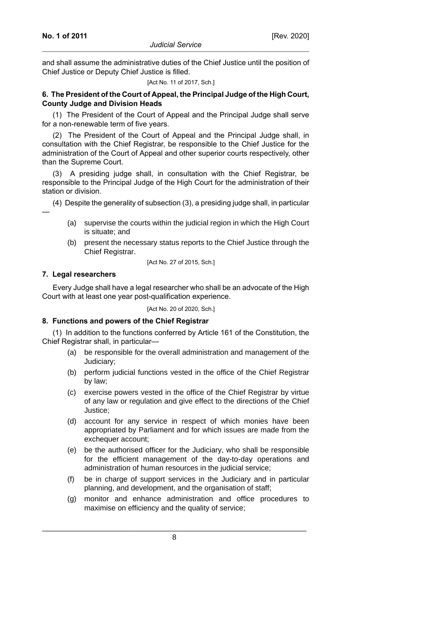and shall assume the administrative duties of the Chief Justice until the position of Chief Justice or Deputy Chief Justice is filled.

#### [Act No. 11 of 2017, Sch.]

# **6. The President of the Court of Appeal, the Principal Judge of the High Court, County Judge and Division Heads**

(1) The President of the Court of Appeal and the Principal Judge shall serve for a non-renewable term of five years.

(2) The President of the Court of Appeal and the Principal Judge shall, in consultation with the Chief Registrar, be responsible to the Chief Justice for the administration of the Court of Appeal and other superior courts respectively, other than the Supreme Court.

(3) A presiding judge shall, in consultation with the Chief Registrar, be responsible to the Principal Judge of the High Court for the administration of their station or division.

(4) Despite the generality of subsection (3), a presiding judge shall, in particular

- (a) supervise the courts within the judicial region in which the High Court is situate; and
- (b) present the necessary status reports to the Chief Justice through the Chief Registrar.

[Act No. 27 of 2015, Sch.]

## **7. Legal researchers**

—

Every Judge shall have a legal researcher who shall be an advocate of the High Court with at least one year post-qualification experience.

[Act No. 20 of 2020, Sch.]

# **8. Functions and powers of the Chief Registrar**

(1) In addition to the functions conferred by Article 161 of the Constitution, the Chief Registrar shall, in particular—

- (a) be responsible for the overall administration and management of the Judiciary;
- (b) perform judicial functions vested in the office of the Chief Registrar by law;
- (c) exercise powers vested in the office of the Chief Registrar by virtue of any law or regulation and give effect to the directions of the Chief Justice;
- (d) account for any service in respect of which monies have been appropriated by Parliament and for which issues are made from the exchequer account;
- (e) be the authorised officer for the Judiciary, who shall be responsible for the efficient management of the day-to-day operations and administration of human resources in the judicial service;
- (f) be in charge of support services in the Judiciary and in particular planning, and development, and the organisation of staff;
- (g) monitor and enhance administration and office procedures to maximise on efficiency and the quality of service;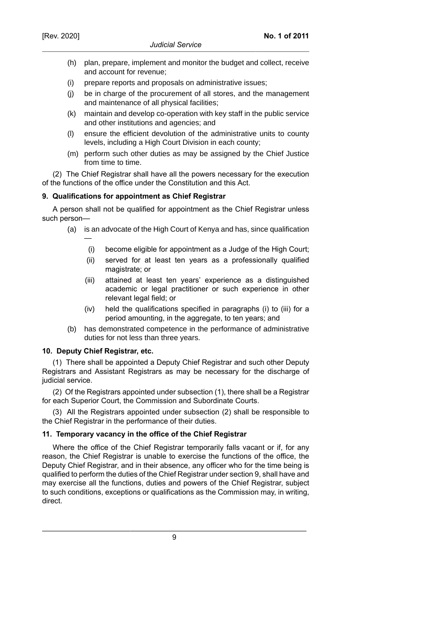- (h) plan, prepare, implement and monitor the budget and collect, receive and account for revenue;
- (i) prepare reports and proposals on administrative issues;
- (j) be in charge of the procurement of all stores, and the management and maintenance of all physical facilities;
- (k) maintain and develop co-operation with key staff in the public service and other institutions and agencies; and
- (l) ensure the efficient devolution of the administrative units to county levels, including a High Court Division in each county;
- (m) perform such other duties as may be assigned by the Chief Justice from time to time.

(2) The Chief Registrar shall have all the powers necessary for the execution of the functions of the office under the Constitution and this Act.

# **9. Qualifications for appointment as Chief Registrar**

A person shall not be qualified for appointment as the Chief Registrar unless such person—

- (a) is an advocate of the High Court of Kenya and has, since qualification —
	- (i) become eligible for appointment as a Judge of the High Court;
	- (ii) served for at least ten years as a professionally qualified magistrate; or
	- (iii) attained at least ten years' experience as a distinguished academic or legal practitioner or such experience in other relevant legal field; or
	- (iv) held the qualifications specified in paragraphs (i) to (iii) for a period amounting, in the aggregate, to ten years; and
- (b) has demonstrated competence in the performance of administrative duties for not less than three years.

# **10. Deputy Chief Registrar, etc.**

(1) There shall be appointed a Deputy Chief Registrar and such other Deputy Registrars and Assistant Registrars as may be necessary for the discharge of judicial service.

(2) Of the Registrars appointed under subsection (1), there shall be a Registrar for each Superior Court, the Commission and Subordinate Courts.

(3) All the Registrars appointed under subsection (2) shall be responsible to the Chief Registrar in the performance of their duties.

# **11. Temporary vacancy in the office of the Chief Registrar**

Where the office of the Chief Registrar temporarily falls vacant or if, for any reason, the Chief Registrar is unable to exercise the functions of the office, the Deputy Chief Registrar, and in their absence, any officer who for the time being is qualified to perform the duties of the Chief Registrar under section 9, shall have and may exercise all the functions, duties and powers of the Chief Registrar, subject to such conditions, exceptions or qualifications as the Commission may, in writing, direct.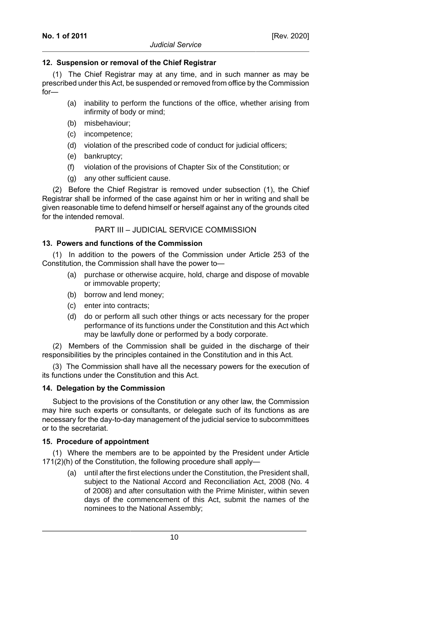# **12. Suspension or removal of the Chief Registrar**

(1) The Chief Registrar may at any time, and in such manner as may be prescribed under this Act, be suspended or removed from office by the Commission for—

- (a) inability to perform the functions of the office, whether arising from infirmity of body or mind;
- (b) misbehaviour;
- (c) incompetence;
- (d) violation of the prescribed code of conduct for judicial officers;
- (e) bankruptcy;
- (f) violation of the provisions of Chapter Six of the Constitution; or
- (g) any other sufficient cause.

(2) Before the Chief Registrar is removed under subsection (1), the Chief Registrar shall be informed of the case against him or her in writing and shall be given reasonable time to defend himself or herself against any of the grounds cited for the intended removal.

# PART III – JUDICIAL SERVICE COMMISSION

# **13. Powers and functions of the Commission**

(1) In addition to the powers of the Commission under Article 253 of the Constitution, the Commission shall have the power to—

- (a) purchase or otherwise acquire, hold, charge and dispose of movable or immovable property;
- (b) borrow and lend money;
- (c) enter into contracts;
- (d) do or perform all such other things or acts necessary for the proper performance of its functions under the Constitution and this Act which may be lawfully done or performed by a body corporate.

(2) Members of the Commission shall be guided in the discharge of their responsibilities by the principles contained in the Constitution and in this Act.

(3) The Commission shall have all the necessary powers for the execution of its functions under the Constitution and this Act.

# **14. Delegation by the Commission**

Subject to the provisions of the Constitution or any other law, the Commission may hire such experts or consultants, or delegate such of its functions as are necessary for the day-to-day management of the judicial service to subcommittees or to the secretariat.

# **15. Procedure of appointment**

(1) Where the members are to be appointed by the President under Article 171(2)(h) of the Constitution, the following procedure shall apply—

(a) until after the first elections under the Constitution, the President shall, subject to the National Accord and Reconciliation Act, 2008 (No. 4 of 2008) and after consultation with the Prime Minister, within seven days of the commencement of this Act, submit the names of the nominees to the National Assembly;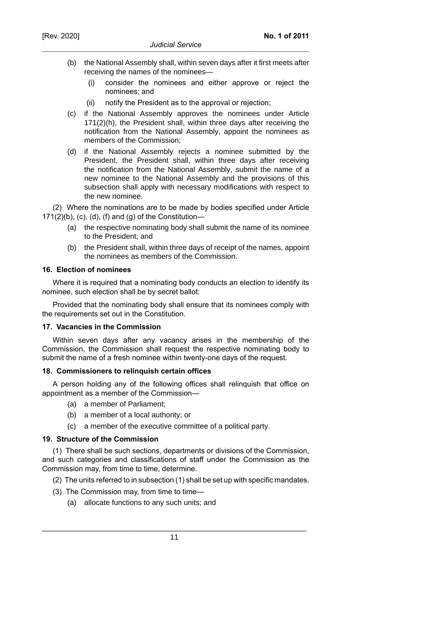- (b) the National Assembly shall, within seven days after it first meets after receiving the names of the nominees—
	- (i) consider the nominees and either approve or reject the nominees; and
	- (ii) notify the President as to the approval or rejection;
- (c) if the National Assembly approves the nominees under Article 171(2)(h), the President shall, within three days after receiving the notification from the National Assembly, appoint the nominees as members of the Commission;
- (d) if the National Assembly rejects a nominee submitted by the President, the President shall, within three days after receiving the notification from the National Assembly, submit the name of a new nominee to the National Assembly and the provisions of this subsection shall apply with necessary modifications with respect to the new nominee.

(2) Where the nominations are to be made by bodies specified under Article 171(2)(b), (c), (d), (f) and (g) of the Constitution—

- (a) the respective nominating body shall submit the name of its nominee to the President; and
- (b) the President shall, within three days of receipt of the names, appoint the nominees as members of the Commission.

#### **16. Election of nominees**

Where it is required that a nominating body conducts an election to identify its nominee, such election shall be by secret ballot:

Provided that the nominating body shall ensure that its nominees comply with the requirements set out in the Constitution.

#### **17. Vacancies in the Commission**

Within seven days after any vacancy arises in the membership of the Commission, the Commission shall request the respective nominating body to submit the name of a fresh nominee within twenty-one days of the request.

#### **18. Commissioners to relinquish certain offices**

A person holding any of the following offices shall relinquish that office on appointment as a member of the Commission—

- (a) a member of Parliament;
- (b) a member of a local authority; or
- (c) a member of the executive committee of a political party.

#### **19. Structure of the Commission**

(1) There shall be such sections, departments or divisions of the Commission, and such categories and classifications of staff under the Commission as the Commission may, from time to time, determine.

- (2) The units referred to in subsection (1) shall be set up with specific mandates.
- (3) The Commission may, from time to time-
	- (a) allocate functions to any such units; and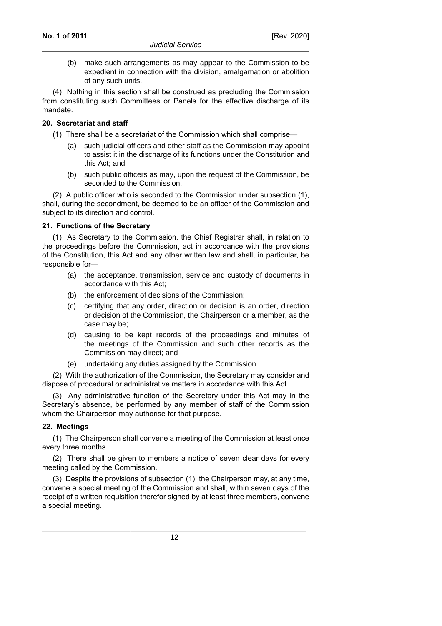(b) make such arrangements as may appear to the Commission to be expedient in connection with the division, amalgamation or abolition of any such units.

(4) Nothing in this section shall be construed as precluding the Commission from constituting such Committees or Panels for the effective discharge of its mandate.

## **20. Secretariat and staff**

- (1) There shall be a secretariat of the Commission which shall comprise—
	- (a) such judicial officers and other staff as the Commission may appoint to assist it in the discharge of its functions under the Constitution and this Act; and
	- (b) such public officers as may, upon the request of the Commission, be seconded to the Commission.

(2) A public officer who is seconded to the Commission under subsection (1), shall, during the secondment, be deemed to be an officer of the Commission and subject to its direction and control.

## **21. Functions of the Secretary**

(1) As Secretary to the Commission, the Chief Registrar shall, in relation to the proceedings before the Commission, act in accordance with the provisions of the Constitution, this Act and any other written law and shall, in particular, be responsible for—

- (a) the acceptance, transmission, service and custody of documents in accordance with this Act;
- (b) the enforcement of decisions of the Commission;
- (c) certifying that any order, direction or decision is an order, direction or decision of the Commission, the Chairperson or a member, as the case may be;
- (d) causing to be kept records of the proceedings and minutes of the meetings of the Commission and such other records as the Commission may direct; and
- (e) undertaking any duties assigned by the Commission.

(2) With the authorization of the Commission, the Secretary may consider and dispose of procedural or administrative matters in accordance with this Act.

(3) Any administrative function of the Secretary under this Act may in the Secretary's absence, be performed by any member of staff of the Commission whom the Chairperson may authorise for that purpose.

#### **22. Meetings**

(1) The Chairperson shall convene a meeting of the Commission at least once every three months.

(2) There shall be given to members a notice of seven clear days for every meeting called by the Commission.

(3) Despite the provisions of subsection (1), the Chairperson may, at any time, convene a special meeting of the Commission and shall, within seven days of the receipt of a written requisition therefor signed by at least three members, convene a special meeting.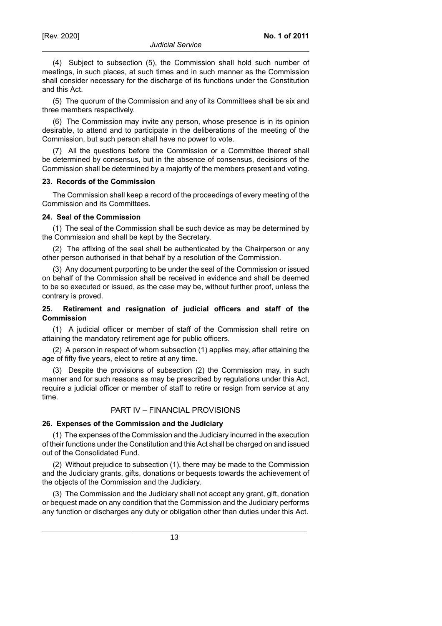(4) Subject to subsection (5), the Commission shall hold such number of meetings, in such places, at such times and in such manner as the Commission shall consider necessary for the discharge of its functions under the Constitution and this Act.

(5) The quorum of the Commission and any of its Committees shall be six and three members respectively.

(6) The Commission may invite any person, whose presence is in its opinion desirable, to attend and to participate in the deliberations of the meeting of the Commission, but such person shall have no power to vote.

(7) All the questions before the Commission or a Committee thereof shall be determined by consensus, but in the absence of consensus, decisions of the Commission shall be determined by a majority of the members present and voting.

## **23. Records of the Commission**

The Commission shall keep a record of the proceedings of every meeting of the Commission and its Committees.

# **24. Seal of the Commission**

(1) The seal of the Commission shall be such device as may be determined by the Commission and shall be kept by the Secretary.

(2) The affixing of the seal shall be authenticated by the Chairperson or any other person authorised in that behalf by a resolution of the Commission.

(3) Any document purporting to be under the seal of the Commission or issued on behalf of the Commission shall be received in evidence and shall be deemed to be so executed or issued, as the case may be, without further proof, unless the contrary is proved.

# **25. Retirement and resignation of judicial officers and staff of the Commission**

(1) A judicial officer or member of staff of the Commission shall retire on attaining the mandatory retirement age for public officers.

(2) A person in respect of whom subsection (1) applies may, after attaining the age of fifty five years, elect to retire at any time.

(3) Despite the provisions of subsection (2) the Commission may, in such manner and for such reasons as may be prescribed by regulations under this Act, require a judicial officer or member of staff to retire or resign from service at any time.

# PART IV – FINANCIAL PROVISIONS

# **26. Expenses of the Commission and the Judiciary**

(1) The expenses of the Commission and the Judiciary incurred in the execution of their functions under the Constitution and this Act shall be charged on and issued out of the Consolidated Fund.

(2) Without prejudice to subsection (1), there may be made to the Commission and the Judiciary grants, gifts, donations or bequests towards the achievement of the objects of the Commission and the Judiciary.

(3) The Commission and the Judiciary shall not accept any grant, gift, donation or bequest made on any condition that the Commission and the Judiciary performs any function or discharges any duty or obligation other than duties under this Act.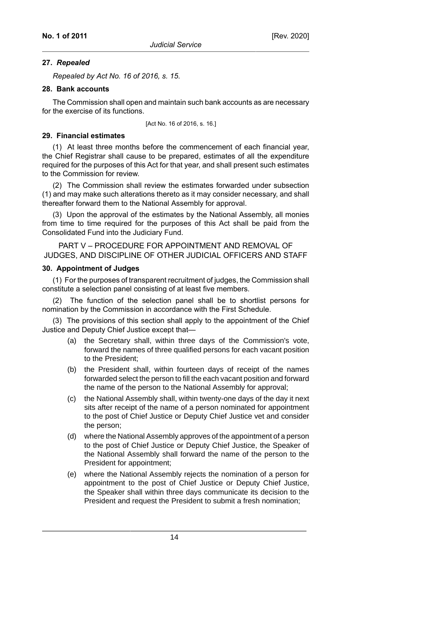#### **27.** *Repealed*

*Repealed by Act No. 16 of 2016, s. 15*.

#### **28. Bank accounts**

The Commission shall open and maintain such bank accounts as are necessary for the exercise of its functions.

[Act No. 16 of 2016, s. 16.]

#### **29. Financial estimates**

(1) At least three months before the commencement of each financial year, the Chief Registrar shall cause to be prepared, estimates of all the expenditure required for the purposes of this Act for that year, and shall present such estimates to the Commission for review.

(2) The Commission shall review the estimates forwarded under subsection (1) and may make such alterations thereto as it may consider necessary, and shall thereafter forward them to the National Assembly for approval.

(3) Upon the approval of the estimates by the National Assembly, all monies from time to time required for the purposes of this Act shall be paid from the Consolidated Fund into the Judiciary Fund.

PART V – PROCEDURE FOR APPOINTMENT AND REMOVAL OF JUDGES, AND DISCIPLINE OF OTHER JUDICIAL OFFICERS AND STAFF

#### **30. Appointment of Judges**

(1) For the purposes of transparent recruitment of judges, the Commission shall constitute a selection panel consisting of at least five members.

(2) The function of the selection panel shall be to shortlist persons for nomination by the Commission in accordance with the First Schedule.

(3) The provisions of this section shall apply to the appointment of the Chief Justice and Deputy Chief Justice except that—

- (a) the Secretary shall, within three days of the Commission's vote, forward the names of three qualified persons for each vacant position to the President;
- (b) the President shall, within fourteen days of receipt of the names forwarded select the person to fill the each vacant position and forward the name of the person to the National Assembly for approval;
- (c) the National Assembly shall, within twenty-one days of the day it next sits after receipt of the name of a person nominated for appointment to the post of Chief Justice or Deputy Chief Justice vet and consider the person;
- (d) where the National Assembly approves of the appointment of a person to the post of Chief Justice or Deputy Chief Justice, the Speaker of the National Assembly shall forward the name of the person to the President for appointment;
- (e) where the National Assembly rejects the nomination of a person for appointment to the post of Chief Justice or Deputy Chief Justice, the Speaker shall within three days communicate its decision to the President and request the President to submit a fresh nomination;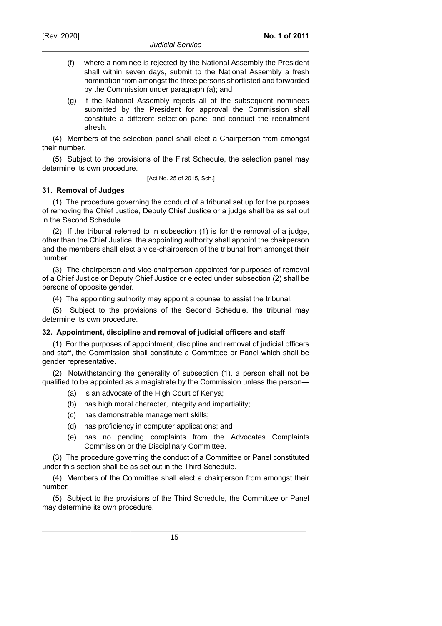- (f) where a nominee is rejected by the National Assembly the President shall within seven days, submit to the National Assembly a fresh nomination from amongst the three persons shortlisted and forwarded by the Commission under paragraph (a); and
- (g) if the National Assembly rejects all of the subsequent nominees submitted by the President for approval the Commission shall constitute a different selection panel and conduct the recruitment afresh.

(4) Members of the selection panel shall elect a Chairperson from amongst their number.

(5) Subject to the provisions of the First Schedule, the selection panel may determine its own procedure.

[Act No. 25 of 2015, Sch.]

## **31. Removal of Judges**

(1) The procedure governing the conduct of a tribunal set up for the purposes of removing the Chief Justice, Deputy Chief Justice or a judge shall be as set out in the Second Schedule.

(2) If the tribunal referred to in subsection (1) is for the removal of a judge, other than the Chief Justice, the appointing authority shall appoint the chairperson and the members shall elect a vice-chairperson of the tribunal from amongst their number.

(3) The chairperson and vice-chairperson appointed for purposes of removal of a Chief Justice or Deputy Chief Justice or elected under subsection (2) shall be persons of opposite gender.

(4) The appointing authority may appoint a counsel to assist the tribunal.

(5) Subject to the provisions of the Second Schedule, the tribunal may determine its own procedure.

#### **32. Appointment, discipline and removal of judicial officers and staff**

(1) For the purposes of appointment, discipline and removal of judicial officers and staff, the Commission shall constitute a Committee or Panel which shall be gender representative.

(2) Notwithstanding the generality of subsection (1), a person shall not be qualified to be appointed as a magistrate by the Commission unless the person—

- (a) is an advocate of the High Court of Kenya;
- (b) has high moral character, integrity and impartiality;
- (c) has demonstrable management skills;
- (d) has proficiency in computer applications; and
- (e) has no pending complaints from the Advocates Complaints Commission or the Disciplinary Committee.

(3) The procedure governing the conduct of a Committee or Panel constituted under this section shall be as set out in the Third Schedule.

(4) Members of the Committee shall elect a chairperson from amongst their number.

(5) Subject to the provisions of the Third Schedule, the Committee or Panel may determine its own procedure.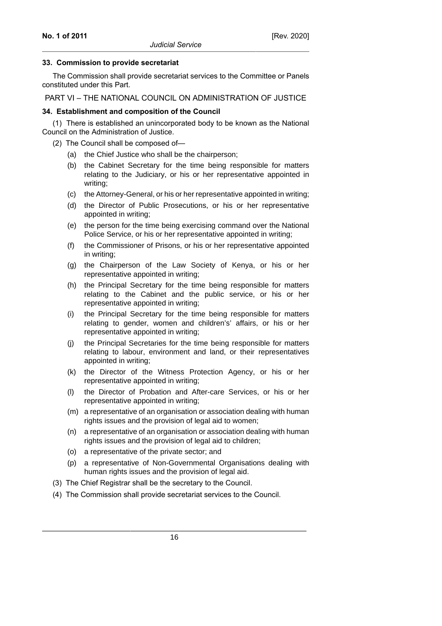### **33. Commission to provide secretariat**

The Commission shall provide secretariat services to the Committee or Panels constituted under this Part.

PART VI – THE NATIONAL COUNCIL ON ADMINISTRATION OF JUSTICE

## **34. Establishment and composition of the Council**

(1) There is established an unincorporated body to be known as the National Council on the Administration of Justice.

- (2) The Council shall be composed of—
	- (a) the Chief Justice who shall be the chairperson;
	- (b) the Cabinet Secretary for the time being responsible for matters relating to the Judiciary, or his or her representative appointed in writing;
	- (c) the Attorney-General, or his or her representative appointed in writing;
	- (d) the Director of Public Prosecutions, or his or her representative appointed in writing;
	- (e) the person for the time being exercising command over the National Police Service, or his or her representative appointed in writing;
	- (f) the Commissioner of Prisons, or his or her representative appointed in writing;
	- (g) the Chairperson of the Law Society of Kenya, or his or her representative appointed in writing;
	- (h) the Principal Secretary for the time being responsible for matters relating to the Cabinet and the public service, or his or her representative appointed in writing;
	- (i) the Principal Secretary for the time being responsible for matters relating to gender, women and children's' affairs, or his or her representative appointed in writing;
	- (j) the Principal Secretaries for the time being responsible for matters relating to labour, environment and land, or their representatives appointed in writing;
	- (k) the Director of the Witness Protection Agency, or his or her representative appointed in writing;
	- (l) the Director of Probation and After-care Services, or his or her representative appointed in writing;
	- (m) a representative of an organisation or association dealing with human rights issues and the provision of legal aid to women;
	- (n) a representative of an organisation or association dealing with human rights issues and the provision of legal aid to children;
	- (o) a representative of the private sector; and
	- (p) a representative of Non-Governmental Organisations dealing with human rights issues and the provision of legal aid.
- (3) The Chief Registrar shall be the secretary to the Council.
- (4) The Commission shall provide secretariat services to the Council.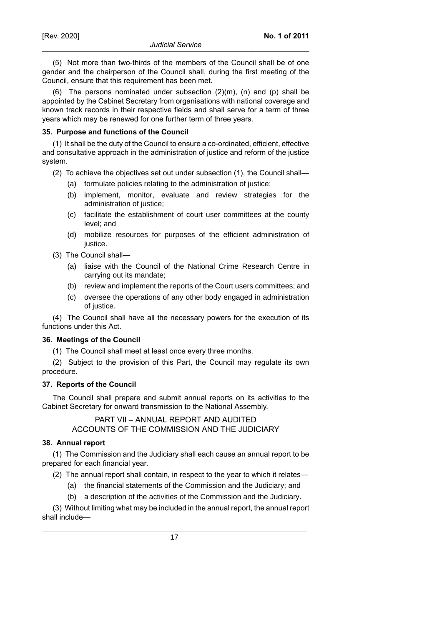(5) Not more than two-thirds of the members of the Council shall be of one gender and the chairperson of the Council shall, during the first meeting of the Council, ensure that this requirement has been met.

(6) The persons nominated under subsection  $(2)(m)$ ,  $(n)$  and  $(p)$  shall be appointed by the Cabinet Secretary from organisations with national coverage and known track records in their respective fields and shall serve for a term of three years which may be renewed for one further term of three years.

# **35. Purpose and functions of the Council**

(1) It shall be the duty of the Council to ensure a co-ordinated, efficient, effective and consultative approach in the administration of justice and reform of the justice system.

- (2) To achieve the objectives set out under subsection (1), the Council shall—
	- (a) formulate policies relating to the administration of justice;
	- (b) implement, monitor, evaluate and review strategies for the administration of justice;
	- (c) facilitate the establishment of court user committees at the county level; and
	- (d) mobilize resources for purposes of the efficient administration of justice.
- (3) The Council shall—
	- (a) liaise with the Council of the National Crime Research Centre in carrying out its mandate;
	- (b) review and implement the reports of the Court users committees; and
	- (c) oversee the operations of any other body engaged in administration of justice.

(4) The Council shall have all the necessary powers for the execution of its functions under this Act.

# **36. Meetings of the Council**

(1) The Council shall meet at least once every three months.

(2) Subject to the provision of this Part, the Council may regulate its own procedure.

# **37. Reports of the Council**

The Council shall prepare and submit annual reports on its activities to the Cabinet Secretary for onward transmission to the National Assembly.

> PART VII – ANNUAL REPORT AND AUDITED ACCOUNTS OF THE COMMISSION AND THE JUDICIARY

# **38. Annual report**

(1) The Commission and the Judiciary shall each cause an annual report to be prepared for each financial year.

(2) The annual report shall contain, in respect to the year to which it relates—

- (a) the financial statements of the Commission and the Judiciary; and
- (b) a description of the activities of the Commission and the Judiciary.

(3) Without limiting what may be included in the annual report, the annual report shall include—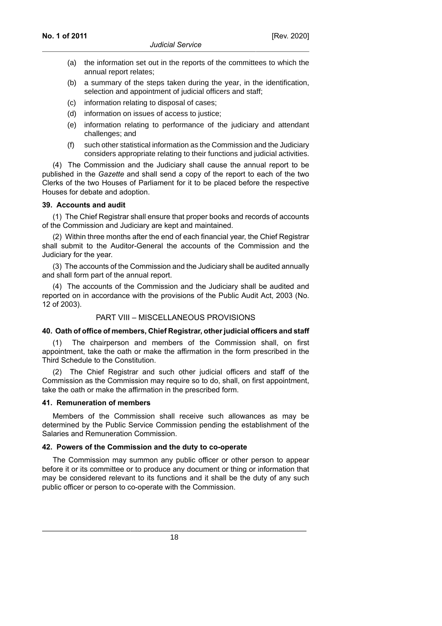- (a) the information set out in the reports of the committees to which the annual report relates;
- (b) a summary of the steps taken during the year, in the identification, selection and appointment of judicial officers and staff;
- (c) information relating to disposal of cases;
- (d) information on issues of access to justice;
- (e) information relating to performance of the judiciary and attendant challenges; and
- (f) such other statistical information as the Commission and the Judiciary considers appropriate relating to their functions and judicial activities.

(4) The Commission and the Judiciary shall cause the annual report to be published in the *Gazette* and shall send a copy of the report to each of the two Clerks of the two Houses of Parliament for it to be placed before the respective Houses for debate and adoption.

#### **39. Accounts and audit**

(1) The Chief Registrar shall ensure that proper books and records of accounts of the Commission and Judiciary are kept and maintained.

(2) Within three months after the end of each financial year, the Chief Registrar shall submit to the Auditor-General the accounts of the Commission and the Judiciary for the year.

(3) The accounts of the Commission and the Judiciary shall be audited annually and shall form part of the annual report.

(4) The accounts of the Commission and the Judiciary shall be audited and reported on in accordance with the provisions of the Public Audit Act, 2003 (No. 12 of 2003).

#### PART VIII – MISCELLANEOUS PROVISIONS

#### **40. Oath of office of members, Chief Registrar, other judicial officers and staff**

(1) The chairperson and members of the Commission shall, on first appointment, take the oath or make the affirmation in the form prescribed in the Third Schedule to the Constitution.

(2) The Chief Registrar and such other judicial officers and staff of the Commission as the Commission may require so to do, shall, on first appointment, take the oath or make the affirmation in the prescribed form.

#### **41. Remuneration of members**

Members of the Commission shall receive such allowances as may be determined by the Public Service Commission pending the establishment of the Salaries and Remuneration Commission.

# **42. Powers of the Commission and the duty to co-operate**

The Commission may summon any public officer or other person to appear before it or its committee or to produce any document or thing or information that may be considered relevant to its functions and it shall be the duty of any such public officer or person to co-operate with the Commission.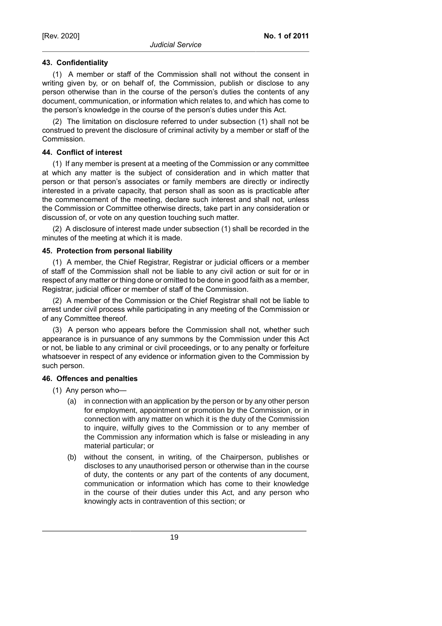# **43. Confidentiality**

(1) A member or staff of the Commission shall not without the consent in writing given by, or on behalf of, the Commission, publish or disclose to any person otherwise than in the course of the person's duties the contents of any document, communication, or information which relates to, and which has come to the person's knowledge in the course of the person's duties under this Act.

(2) The limitation on disclosure referred to under subsection (1) shall not be construed to prevent the disclosure of criminal activity by a member or staff of the Commission.

# **44. Conflict of interest**

(1) If any member is present at a meeting of the Commission or any committee at which any matter is the subject of consideration and in which matter that person or that person's associates or family members are directly or indirectly interested in a private capacity, that person shall as soon as is practicable after the commencement of the meeting, declare such interest and shall not, unless the Commission or Committee otherwise directs, take part in any consideration or discussion of, or vote on any question touching such matter.

(2) A disclosure of interest made under subsection (1) shall be recorded in the minutes of the meeting at which it is made.

## **45. Protection from personal liability**

(1) A member, the Chief Registrar, Registrar or judicial officers or a member of staff of the Commission shall not be liable to any civil action or suit for or in respect of any matter or thing done or omitted to be done in good faith as a member, Registrar, judicial officer or member of staff of the Commission.

(2) A member of the Commission or the Chief Registrar shall not be liable to arrest under civil process while participating in any meeting of the Commission or of any Committee thereof.

(3) A person who appears before the Commission shall not, whether such appearance is in pursuance of any summons by the Commission under this Act or not, be liable to any criminal or civil proceedings, or to any penalty or forfeiture whatsoever in respect of any evidence or information given to the Commission by such person.

### **46. Offences and penalties**

- (1) Any person who—
	- (a) in connection with an application by the person or by any other person for employment, appointment or promotion by the Commission, or in connection with any matter on which it is the duty of the Commission to inquire, wilfully gives to the Commission or to any member of the Commission any information which is false or misleading in any material particular; or
	- (b) without the consent, in writing, of the Chairperson, publishes or discloses to any unauthorised person or otherwise than in the course of duty, the contents or any part of the contents of any document, communication or information which has come to their knowledge in the course of their duties under this Act, and any person who knowingly acts in contravention of this section; or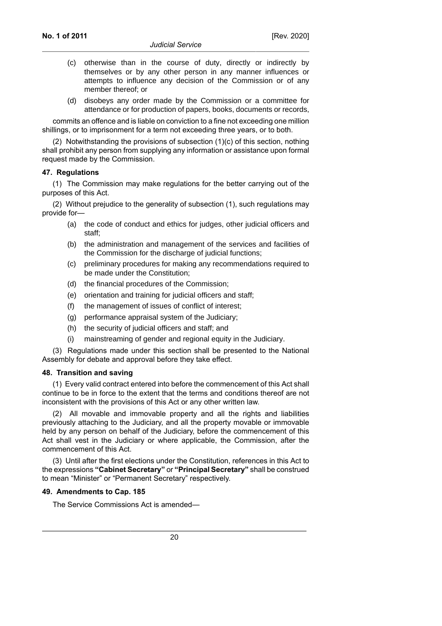- (c) otherwise than in the course of duty, directly or indirectly by themselves or by any other person in any manner influences or attempts to influence any decision of the Commission or of any member thereof; or
- (d) disobeys any order made by the Commission or a committee for attendance or for production of papers, books, documents or records,

commits an offence and is liable on conviction to a fine not exceeding one million shillings, or to imprisonment for a term not exceeding three years, or to both.

(2) Notwithstanding the provisions of subsection (1)(c) of this section, nothing shall prohibit any person from supplying any information or assistance upon formal request made by the Commission.

#### **47. Regulations**

(1) The Commission may make regulations for the better carrying out of the purposes of this Act.

(2) Without prejudice to the generality of subsection (1), such regulations may provide for—

- (a) the code of conduct and ethics for judges, other judicial officers and staff;
- (b) the administration and management of the services and facilities of the Commission for the discharge of judicial functions;
- (c) preliminary procedures for making any recommendations required to be made under the Constitution;
- (d) the financial procedures of the Commission;
- (e) orientation and training for judicial officers and staff;
- (f) the management of issues of conflict of interest;
- (g) performance appraisal system of the Judiciary;
- (h) the security of judicial officers and staff; and
- (i) mainstreaming of gender and regional equity in the Judiciary.

(3) Regulations made under this section shall be presented to the National Assembly for debate and approval before they take effect.

#### **48. Transition and saving**

(1) Every valid contract entered into before the commencement of this Act shall continue to be in force to the extent that the terms and conditions thereof are not inconsistent with the provisions of this Act or any other written law.

(2) All movable and immovable property and all the rights and liabilities previously attaching to the Judiciary, and all the property movable or immovable held by any person on behalf of the Judiciary, before the commencement of this Act shall vest in the Judiciary or where applicable, the Commission, after the commencement of this Act.

(3) Until after the first elections under the Constitution, references in this Act to the expressions **"Cabinet Secretary"** or **"Principal Secretary"** shall be construed to mean "Minister" or "Permanent Secretary" respectively.

#### **49. Amendments to Cap. 185**

The Service Commissions Act is amended—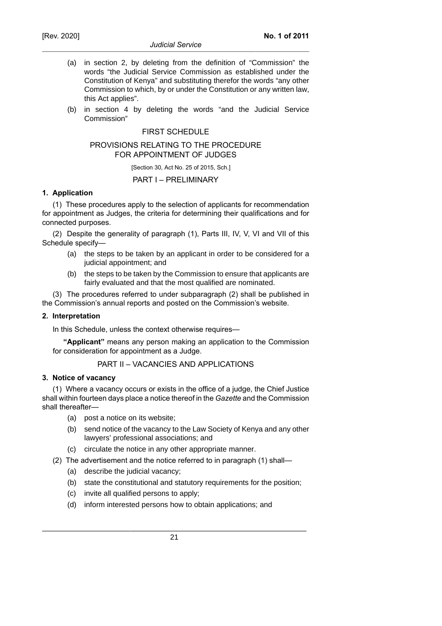- (a) in section 2, by deleting from the definition of "Commission" the words "the Judicial Service Commission as established under the Constitution of Kenya" and substituting therefor the words "any other Commission to which, by or under the Constitution or any written law, this Act applies".
- (b) in section 4 by deleting the words "and the Judicial Service Commission"

## FIRST SCHEDULE

#### PROVISIONS RELATING TO THE PROCEDURE FOR APPOINTMENT OF JUDGES

[Section 30, Act No. 25 of 2015, Sch.]

## PART I – PRELIMINARY

## **1. Application**

(1) These procedures apply to the selection of applicants for recommendation for appointment as Judges, the criteria for determining their qualifications and for connected purposes.

(2) Despite the generality of paragraph (1), Parts III, IV, V, VI and VII of this Schedule specify—

- (a) the steps to be taken by an applicant in order to be considered for a judicial appointment; and
- (b) the steps to be taken by the Commission to ensure that applicants are fairly evaluated and that the most qualified are nominated.

(3) The procedures referred to under subparagraph (2) shall be published in the Commission's annual reports and posted on the Commission's website.

#### **2. Interpretation**

In this Schedule, unless the context otherwise requires—

**"Applicant"** means any person making an application to the Commission for consideration for appointment as a Judge.

# PART II – VACANCIES AND APPLICATIONS

### **3. Notice of vacancy**

(1) Where a vacancy occurs or exists in the office of a judge, the Chief Justice shall within fourteen days place a notice thereof in the *Gazette* and the Commission shall thereafter-

- (a) post a notice on its website;
- (b) send notice of the vacancy to the Law Society of Kenya and any other lawyers' professional associations; and
- (c) circulate the notice in any other appropriate manner.
- (2) The advertisement and the notice referred to in paragraph (1) shall—
	- (a) describe the judicial vacancy;
	- (b) state the constitutional and statutory requirements for the position;
	- (c) invite all qualified persons to apply;
	- (d) inform interested persons how to obtain applications; and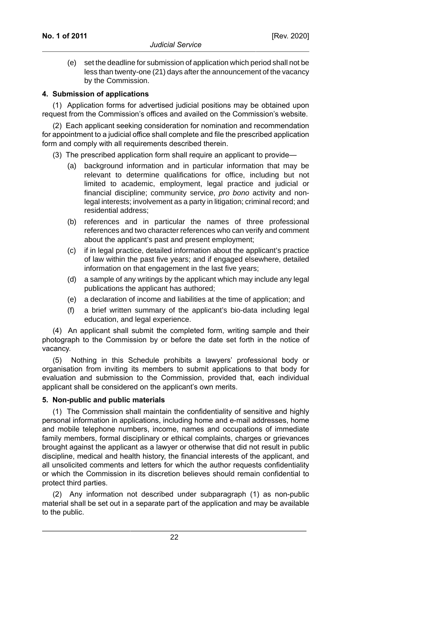(e) set the deadline for submission of application which period shall not be less than twenty-one (21) days after the announcement of the vacancy by the Commission.

### **4. Submission of applications**

(1) Application forms for advertised judicial positions may be obtained upon request from the Commission's offices and availed on the Commission's website.

(2) Each applicant seeking consideration for nomination and recommendation for appointment to a judicial office shall complete and file the prescribed application form and comply with all requirements described therein.

(3) The prescribed application form shall require an applicant to provide—

- (a) background information and in particular information that may be relevant to determine qualifications for office, including but not limited to academic, employment, legal practice and judicial or financial discipline; community service, pro bono activity and nonlegal interests; involvement as a party in litigation; criminal record; and residential address;
- (b) references and in particular the names of three professional references and two character references who can verify and comment about the applicant's past and present employment;
- (c) if in legal practice, detailed information about the applicant's practice of law within the past five years; and if engaged elsewhere, detailed information on that engagement in the last five years;
- (d) a sample of any writings by the applicant which may include any legal publications the applicant has authored;
- (e) a declaration of income and liabilities at the time of application; and
- (f) a brief written summary of the applicant's bio-data including legal education, and legal experience.

(4) An applicant shall submit the completed form, writing sample and their photograph to the Commission by or before the date set forth in the notice of vacancy.

(5) Nothing in this Schedule prohibits a lawyers' professional body or organisation from inviting its members to submit applications to that body for evaluation and submission to the Commission, provided that, each individual applicant shall be considered on the applicant's own merits.

#### **5. Non-public and public materials**

(1) The Commission shall maintain the confidentiality of sensitive and highly personal information in applications, including home and e-mail addresses, home and mobile telephone numbers, income, names and occupations of immediate family members, formal disciplinary or ethical complaints, charges or grievances brought against the applicant as a lawyer or otherwise that did not result in public discipline, medical and health history, the financial interests of the applicant, and all unsolicited comments and letters for which the author requests confidentiality or which the Commission in its discretion believes should remain confidential to protect third parties.

(2) Any information not described under subparagraph (1) as non-public material shall be set out in a separate part of the application and may be available to the public.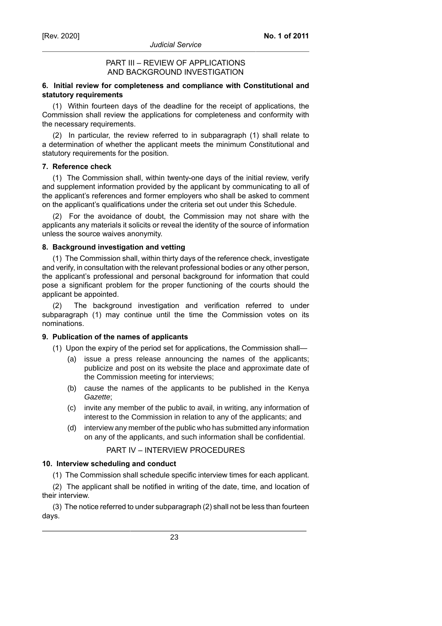# PART III – REVIEW OF APPLICATIONS AND BACKGROUND INVESTIGATION

# **6. Initial review for completeness and compliance with Constitutional and statutory requirements**

(1) Within fourteen days of the deadline for the receipt of applications, the Commission shall review the applications for completeness and conformity with the necessary requirements.

(2) In particular, the review referred to in subparagraph (1) shall relate to a determination of whether the applicant meets the minimum Constitutional and statutory requirements for the position.

### **7. Reference check**

(1) The Commission shall, within twenty-one days of the initial review, verify and supplement information provided by the applicant by communicating to all of the applicant's references and former employers who shall be asked to comment on the applicant's qualifications under the criteria set out under this Schedule.

(2) For the avoidance of doubt, the Commission may not share with the applicants any materials it solicits or reveal the identity of the source of information unless the source waives anonymity.

## **8. Background investigation and vetting**

(1) The Commission shall, within thirty days of the reference check, investigate and verify, in consultation with the relevant professional bodies or any other person, the applicant's professional and personal background for information that could pose a significant problem for the proper functioning of the courts should the applicant be appointed.

(2) The background investigation and verification referred to under subparagraph (1) may continue until the time the Commission votes on its nominations.

# **9. Publication of the names of applicants**

- (1) Upon the expiry of the period set for applications, the Commission shall—
	- (a) issue a press release announcing the names of the applicants; publicize and post on its website the place and approximate date of the Commission meeting for interviews;
	- (b) cause the names of the applicants to be published in the Kenya Gazette;
	- (c) invite any member of the public to avail, in writing, any information of interest to the Commission in relation to any of the applicants; and
	- (d) interview any member of the public who has submitted any information on any of the applicants, and such information shall be confidential.

# PART IV – INTERVIEW PROCEDURES

#### **10. Interview scheduling and conduct**

(1) The Commission shall schedule specific interview times for each applicant.

(2) The applicant shall be notified in writing of the date, time, and location of their interview.

(3) The notice referred to under subparagraph (2) shall not be less than fourteen days.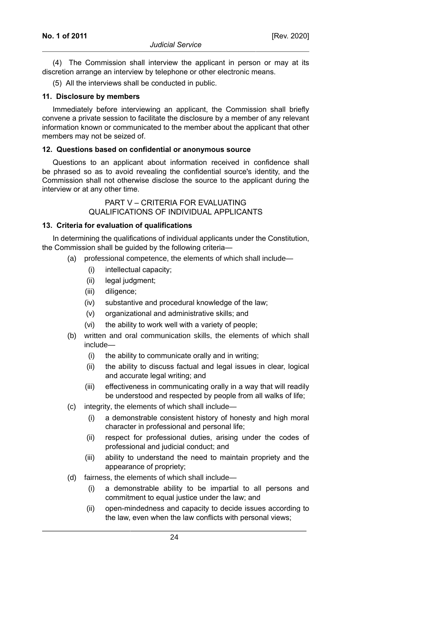(4) The Commission shall interview the applicant in person or may at its discretion arrange an interview by telephone or other electronic means.

(5) All the interviews shall be conducted in public.

#### **11. Disclosure by members**

Immediately before interviewing an applicant, the Commission shall briefly convene a private session to facilitate the disclosure by a member of any relevant information known or communicated to the member about the applicant that other members may not be seized of.

### **12. Questions based on confidential or anonymous source**

Questions to an applicant about information received in confidence shall be phrased so as to avoid revealing the confidential source's identity, and the Commission shall not otherwise disclose the source to the applicant during the interview or at any other time.

## PART V – CRITERIA FOR EVALUATING QUALIFICATIONS OF INDIVIDUAL APPLICANTS

#### **13. Criteria for evaluation of qualifications**

In determining the qualifications of individual applicants under the Constitution, the Commission shall be guided by the following criteria—

- (a) professional competence, the elements of which shall include—
	- (i) intellectual capacity;
	- (ii) legal judgment;
	- (iii) diligence;
	- (iv) substantive and procedural knowledge of the law;
	- (v) organizational and administrative skills; and
	- (vi) the ability to work well with a variety of people;
- (b) written and oral communication skills, the elements of which shall include—
	- (i) the ability to communicate orally and in writing;
	- (ii) the ability to discuss factual and legal issues in clear, logical and accurate legal writing; and
	- (iii) effectiveness in communicating orally in a way that will readily be understood and respected by people from all walks of life;
- (c) integrity, the elements of which shall include—
	- (i) a demonstrable consistent history of honesty and high moral character in professional and personal life;
	- (ii) respect for professional duties, arising under the codes of professional and judicial conduct; and
	- (iii) ability to understand the need to maintain propriety and the appearance of propriety;
- (d) fairness, the elements of which shall include—
	- (i) a demonstrable ability to be impartial to all persons and commitment to equal justice under the law; and
	- (ii) open-mindedness and capacity to decide issues according to the law, even when the law conflicts with personal views;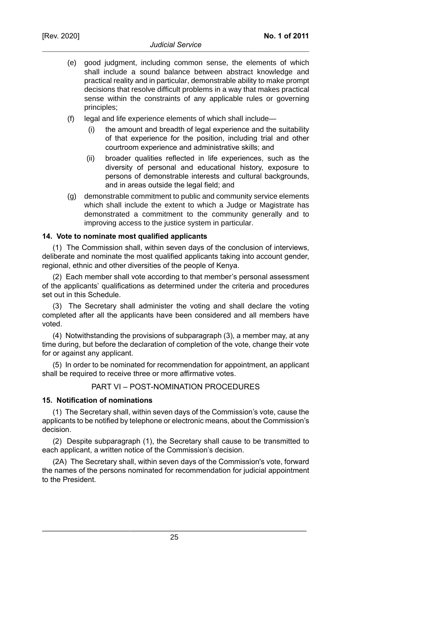- (e) good judgment, including common sense, the elements of which shall include a sound balance between abstract knowledge and practical reality and in particular, demonstrable ability to make prompt decisions that resolve difficult problems in a way that makes practical sense within the constraints of any applicable rules or governing principles;
- (f) legal and life experience elements of which shall include—
	- (i) the amount and breadth of legal experience and the suitability of that experience for the position, including trial and other courtroom experience and administrative skills; and
	- (ii) broader qualities reflected in life experiences, such as the diversity of personal and educational history, exposure to persons of demonstrable interests and cultural backgrounds, and in areas outside the legal field; and
- (g) demonstrable commitment to public and community service elements which shall include the extent to which a Judge or Magistrate has demonstrated a commitment to the community generally and to improving access to the justice system in particular.

#### **14. Vote to nominate most qualified applicants**

(1) The Commission shall, within seven days of the conclusion of interviews, deliberate and nominate the most qualified applicants taking into account gender, regional, ethnic and other diversities of the people of Kenya.

(2) Each member shall vote according to that member's personal assessment of the applicants' qualifications as determined under the criteria and procedures set out in this Schedule.

(3) The Secretary shall administer the voting and shall declare the voting completed after all the applicants have been considered and all members have voted.

(4) Notwithstanding the provisions of subparagraph (3), a member may, at any time during, but before the declaration of completion of the vote, change their vote for or against any applicant.

(5) In order to be nominated for recommendation for appointment, an applicant shall be required to receive three or more affirmative votes.

#### PART VI – POST-NOMINATION PROCEDURES

#### **15. Notification of nominations**

(1) The Secretary shall, within seven days of the Commission's vote, cause the applicants to be notified by telephone or electronic means, about the Commission's decision.

(2) Despite subparagraph (1), the Secretary shall cause to be transmitted to each applicant, a written notice of the Commission's decision.

(2A) The Secretary shall, within seven days of the Commission's vote, forward the names of the persons nominated for recommendation for judicial appointment to the President.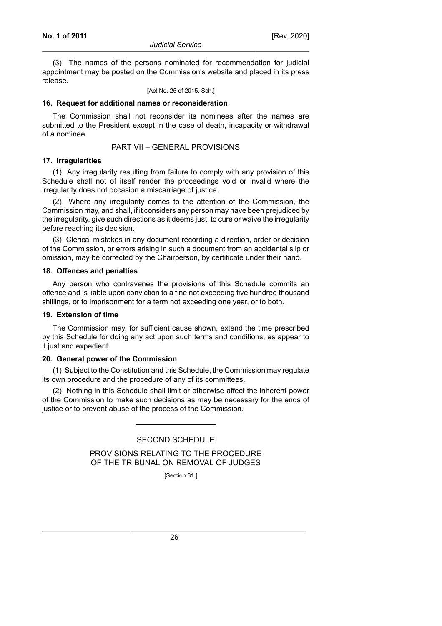#### *Judicial Service*

(3) The names of the persons nominated for recommendation for judicial appointment may be posted on the Commission's website and placed in its press release.

[Act No. 25 of 2015, Sch.]

#### **16. Request for additional names or reconsideration**

The Commission shall not reconsider its nominees after the names are submitted to the President except in the case of death, incapacity or withdrawal of a nominee.

PART VII – GENERAL PROVISIONS

### **17. Irregularities**

(1) Any irregularity resulting from failure to comply with any provision of this Schedule shall not of itself render the proceedings void or invalid where the irregularity does not occasion a miscarriage of justice.

(2) Where any irregularity comes to the attention of the Commission, the Commission may, and shall, if it considers any person may have been prejudiced by the irregularity, give such directions as it deems just, to cure or waive the irregularity before reaching its decision.

(3) Clerical mistakes in any document recording a direction, order or decision of the Commission, or errors arising in such a document from an accidental slip or omission, may be corrected by the Chairperson, by certificate under their hand.

#### **18. Offences and penalties**

Any person who contravenes the provisions of this Schedule commits an offence and is liable upon conviction to a fine not exceeding five hundred thousand shillings, or to imprisonment for a term not exceeding one year, or to both.

### **19. Extension of time**

The Commission may, for sufficient cause shown, extend the time prescribed by this Schedule for doing any act upon such terms and conditions, as appear to it just and expedient.

#### **20. General power of the Commission**

(1) Subject to the Constitution and this Schedule, the Commission may regulate its own procedure and the procedure of any of its committees.

(2) Nothing in this Schedule shall limit or otherwise affect the inherent power of the Commission to make such decisions as may be necessary for the ends of justice or to prevent abuse of the process of the Commission.

# SECOND SCHEDULE

PROVISIONS RELATING TO THE PROCEDURE OF THE TRIBUNAL ON REMOVAL OF JUDGES

[Section 31.]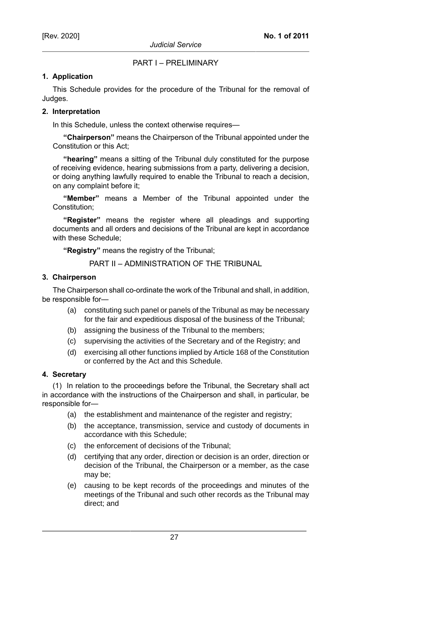PART I – PRELIMINARY

# **1. Application**

This Schedule provides for the procedure of the Tribunal for the removal of Judges.

# **2. Interpretation**

In this Schedule, unless the context otherwise requires—

**"Chairperson"** means the Chairperson of the Tribunal appointed under the Constitution or this Act;

**"hearing"** means a sitting of the Tribunal duly constituted for the purpose of receiving evidence, hearing submissions from a party, delivering a decision, or doing anything lawfully required to enable the Tribunal to reach a decision, on any complaint before it;

**"Member"** means a Member of the Tribunal appointed under the Constitution;

**"Register"** means the register where all pleadings and supporting documents and all orders and decisions of the Tribunal are kept in accordance with these Schedule;

**"Registry"** means the registry of the Tribunal;

PART II – ADMINISTRATION OF THE TRIBUNAL

## **3. Chairperson**

The Chairperson shall co-ordinate the work of the Tribunal and shall, in addition, be responsible for—

- (a) constituting such panel or panels of the Tribunal as may be necessary for the fair and expeditious disposal of the business of the Tribunal;
- (b) assigning the business of the Tribunal to the members;
- (c) supervising the activities of the Secretary and of the Registry; and
- (d) exercising all other functions implied by Article 168 of the Constitution or conferred by the Act and this Schedule.

# **4. Secretary**

(1) In relation to the proceedings before the Tribunal, the Secretary shall act in accordance with the instructions of the Chairperson and shall, in particular, be responsible for—

- (a) the establishment and maintenance of the register and registry;
- (b) the acceptance, transmission, service and custody of documents in accordance with this Schedule;
- (c) the enforcement of decisions of the Tribunal;
- (d) certifying that any order, direction or decision is an order, direction or decision of the Tribunal, the Chairperson or a member, as the case may be;
- (e) causing to be kept records of the proceedings and minutes of the meetings of the Tribunal and such other records as the Tribunal may direct; and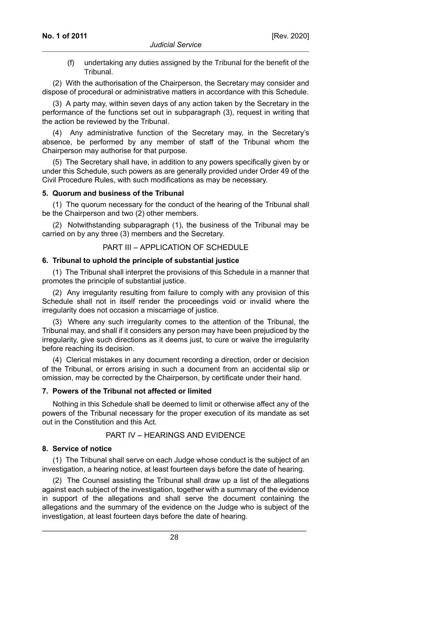(f) undertaking any duties assigned by the Tribunal for the benefit of the Tribunal.

(2) With the authorisation of the Chairperson, the Secretary may consider and dispose of procedural or administrative matters in accordance with this Schedule.

(3) A party may, within seven days of any action taken by the Secretary in the performance of the functions set out in subparagraph (3), request in writing that the action be reviewed by the Tribunal.

(4) Any administrative function of the Secretary may, in the Secretary's absence, be performed by any member of staff of the Tribunal whom the Chairperson may authorise for that purpose.

(5) The Secretary shall have, in addition to any powers specifically given by or under this Schedule, such powers as are generally provided under Order 49 of the Civil Procedure Rules, with such modifications as may be necessary.

#### **5. Quorum and business of the Tribunal**

(1) The quorum necessary for the conduct of the hearing of the Tribunal shall be the Chairperson and two (2) other members.

(2) Notwithstanding subparagraph (1), the business of the Tribunal may be carried on by any three (3) members and the Secretary.

#### PART III – APPLICATION OF SCHEDULE

#### **6. Tribunal to uphold the principle of substantial justice**

(1) The Tribunal shall interpret the provisions of this Schedule in a manner that promotes the principle of substantial justice.

(2) Any irregularity resulting from failure to comply with any provision of this Schedule shall not in itself render the proceedings void or invalid where the irregularity does not occasion a miscarriage of justice.

(3) Where any such irregularity comes to the attention of the Tribunal, the Tribunal may, and shall if it considers any person may have been prejudiced by the irregularity, give such directions as it deems just, to cure or waive the irregularity before reaching its decision.

(4) Clerical mistakes in any document recording a direction, order or decision of the Tribunal, or errors arising in such a document from an accidental slip or omission, may be corrected by the Chairperson, by certificate under their hand.

#### **7. Powers of the Tribunal not affected or limited**

Nothing in this Schedule shall be deemed to limit or otherwise affect any of the powers of the Tribunal necessary for the proper execution of its mandate as set out in the Constitution and this Act.

# PART IV – HEARINGS AND EVIDENCE

### **8. Service of notice**

(1) The Tribunal shall serve on each Judge whose conduct is the subject of an investigation, a hearing notice, at least fourteen days before the date of hearing.

(2) The Counsel assisting the Tribunal shall draw up a list of the allegations against each subject of the investigation, together with a summary of the evidence in support of the allegations and shall serve the document containing the allegations and the summary of the evidence on the Judge who is subject of the investigation, at least fourteen days before the date of hearing.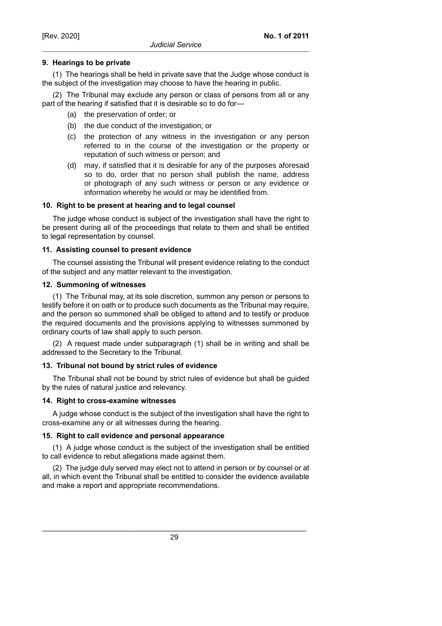# **9. Hearings to be private**

(1) The hearings shall be held in private save that the Judge whose conduct is the subject of the investigation may choose to have the hearing in public.

(2) The Tribunal may exclude any person or class of persons from all or any part of the hearing if satisfied that it is desirable so to do for—

- (a) the preservation of order; or
- (b) the due conduct of the investigation; or
- (c) the protection of any witness in the investigation or any person referred to in the course of the investigation or the property or reputation of such witness or person; and
- (d) may, if satisfied that it is desirable for any of the purposes aforesaid so to do, order that no person shall publish the name, address or photograph of any such witness or person or any evidence or information whereby he would or may be identified from.

## **10. Right to be present at hearing and to legal counsel**

The judge whose conduct is subject of the investigation shall have the right to be present during all of the proceedings that relate to them and shall be entitled to legal representation by counsel.

## **11. Assisting counsel to present evidence**

The counsel assisting the Tribunal will present evidence relating to the conduct of the subject and any matter relevant to the investigation.

## **12. Summoning of witnesses**

(1) The Tribunal may, at its sole discretion, summon any person or persons to testify before it on oath or to produce such documents as the Tribunal may require, and the person so summoned shall be obliged to attend and to testify or produce the required documents and the provisions applying to witnesses summoned by ordinary courts of law shall apply to such person.

(2) A request made under subparagraph (1) shall be in writing and shall be addressed to the Secretary to the Tribunal.

### **13. Tribunal not bound by strict rules of evidence**

The Tribunal shall not be bound by strict rules of evidence but shall be guided by the rules of natural justice and relevancy.

#### **14. Right to cross-examine witnesses**

A judge whose conduct is the subject of the investigation shall have the right to cross-examine any or all witnesses during the hearing.

#### **15. Right to call evidence and personal appearance**

(1) A judge whose conduct is the subject of the investigation shall be entitled to call evidence to rebut allegations made against them.

(2) The judge duly served may elect not to attend in person or by counsel or at all, in which event the Tribunal shall be entitled to consider the evidence available and make a report and appropriate recommendations.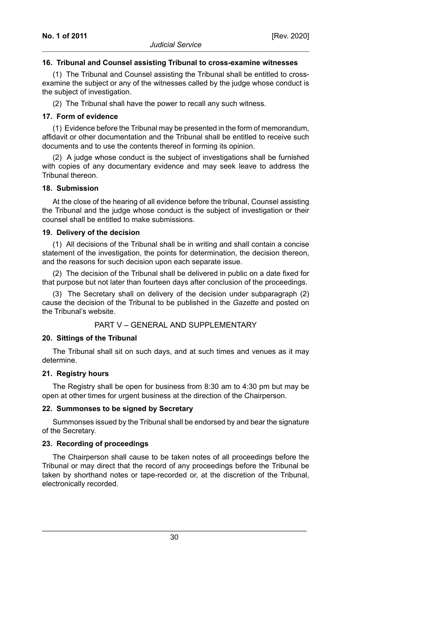### **16. Tribunal and Counsel assisting Tribunal to cross-examine witnesses**

(1) The Tribunal and Counsel assisting the Tribunal shall be entitled to crossexamine the subject or any of the witnesses called by the judge whose conduct is the subject of investigation.

(2) The Tribunal shall have the power to recall any such witness.

## **17. Form of evidence**

(1) Evidence before the Tribunal may be presented in the form of memorandum, affidavit or other documentation and the Tribunal shall be entitled to receive such documents and to use the contents thereof in forming its opinion.

(2) A judge whose conduct is the subject of investigations shall be furnished with copies of any documentary evidence and may seek leave to address the Tribunal thereon.

#### **18. Submission**

At the close of the hearing of all evidence before the tribunal, Counsel assisting the Tribunal and the judge whose conduct is the subject of investigation or their counsel shall be entitled to make submissions.

## **19. Delivery of the decision**

(1) All decisions of the Tribunal shall be in writing and shall contain a concise statement of the investigation, the points for determination, the decision thereon, and the reasons for such decision upon each separate issue.

(2) The decision of the Tribunal shall be delivered in public on a date fixed for that purpose but not later than fourteen days after conclusion of the proceedings.

(3) The Secretary shall on delivery of the decision under subparagraph (2) cause the decision of the Tribunal to be published in the *Gazette* and posted on the Tribunal's website.

# PART V – GENERAL AND SUPPLEMENTARY

#### **20. Sittings of the Tribunal**

The Tribunal shall sit on such days, and at such times and venues as it may determine.

# **21. Registry hours**

The Registry shall be open for business from 8:30 am to 4:30 pm but may be open at other times for urgent business at the direction of the Chairperson.

#### **22. Summonses to be signed by Secretary**

Summonses issued by the Tribunal shall be endorsed by and bear the signature of the Secretary.

#### **23. Recording of proceedings**

The Chairperson shall cause to be taken notes of all proceedings before the Tribunal or may direct that the record of any proceedings before the Tribunal be taken by shorthand notes or tape-recorded or, at the discretion of the Tribunal, electronically recorded.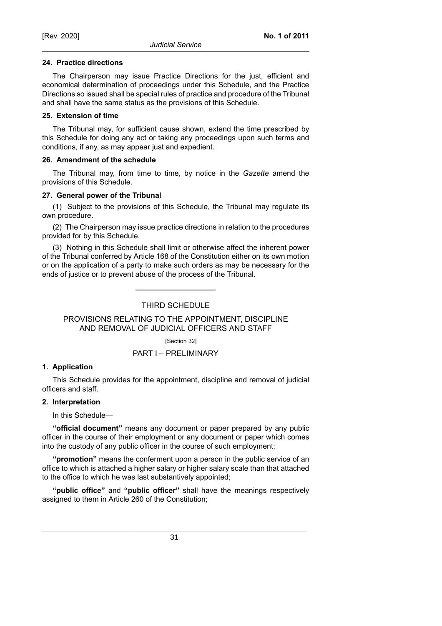#### **24. Practice directions**

The Chairperson may issue Practice Directions for the just, efficient and economical determination of proceedings under this Schedule, and the Practice Directions so issued shall be special rules of practice and procedure of the Tribunal and shall have the same status as the provisions of this Schedule.

#### **25. Extension of time**

The Tribunal may, for sufficient cause shown, extend the time prescribed by this Schedule for doing any act or taking any proceedings upon such terms and conditions, if any, as may appear just and expedient.

#### **26. Amendment of the schedule**

The Tribunal may, from time to time, by notice in the *Gazette* amend the provisions of this Schedule.

#### **27. General power of the Tribunal**

(1) Subject to the provisions of this Schedule, the Tribunal may regulate its own procedure.

(2) The Chairperson may issue practice directions in relation to the procedures provided for by this Schedule.

(3) Nothing in this Schedule shall limit or otherwise affect the inherent power of the Tribunal conferred by Article 168 of the Constitution either on its own motion or on the application of a party to make such orders as may be necessary for the ends of justice or to prevent abuse of the process of the Tribunal.

# THIRD SCHEDULE

## PROVISIONS RELATING TO THE APPOINTMENT, DISCIPLINE AND REMOVAL OF JUDICIAL OFFICERS AND STAFF

[Section 32]

### PART I – PRELIMINARY

#### **1. Application**

This Schedule provides for the appointment, discipline and removal of judicial officers and staff.

#### **2. Interpretation**

In this Schedule—

**"official document"** means any document or paper prepared by any public officer in the course of their employment or any document or paper which comes into the custody of any public officer in the course of such employment;

**"promotion"** means the conferment upon a person in the public service of an office to which is attached a higher salary or higher salary scale than that attached to the office to which he was last substantively appointed;

**"public office"** and **"public officer"** shall have the meanings respectively assigned to them in Article 260 of the Constitution;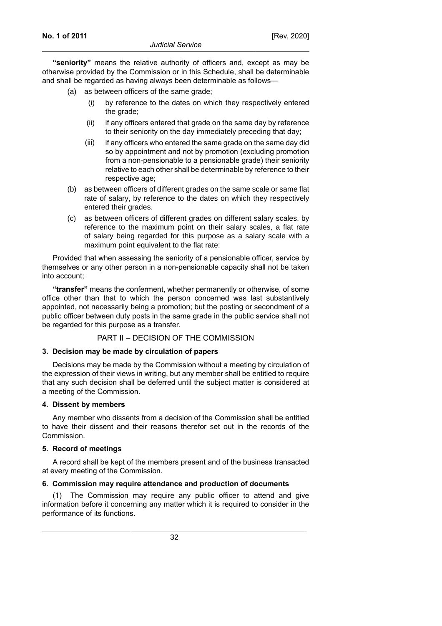**"seniority"** means the relative authority of officers and, except as may be otherwise provided by the Commission or in this Schedule, shall be determinable and shall be regarded as having always been determinable as follows—

- (a) as between officers of the same grade;
	- (i) by reference to the dates on which they respectively entered the grade;
	- (ii) if any officers entered that grade on the same day by reference to their seniority on the day immediately preceding that day;
	- (iii) if any officers who entered the same grade on the same day did so by appointment and not by promotion (excluding promotion from a non-pensionable to a pensionable grade) their seniority relative to each other shall be determinable by reference to their respective age;
- (b) as between officers of different grades on the same scale or same flat rate of salary, by reference to the dates on which they respectively entered their grades.
- (c) as between officers of different grades on different salary scales, by reference to the maximum point on their salary scales, a flat rate of salary being regarded for this purpose as a salary scale with a maximum point equivalent to the flat rate:

Provided that when assessing the seniority of a pensionable officer, service by themselves or any other person in a non-pensionable capacity shall not be taken into account;

**"transfer"** means the conferment, whether permanently or otherwise, of some office other than that to which the person concerned was last substantively appointed, not necessarily being a promotion; but the posting or secondment of a public officer between duty posts in the same grade in the public service shall not be regarded for this purpose as a transfer.

### PART II – DECISION OF THE COMMISSION

#### **3. Decision may be made by circulation of papers**

Decisions may be made by the Commission without a meeting by circulation of the expression of their views in writing, but any member shall be entitled to require that any such decision shall be deferred until the subject matter is considered at a meeting of the Commission.

#### **4. Dissent by members**

Any member who dissents from a decision of the Commission shall be entitled to have their dissent and their reasons therefor set out in the records of the Commission.

#### **5. Record of meetings**

A record shall be kept of the members present and of the business transacted at every meeting of the Commission.

#### **6. Commission may require attendance and production of documents**

(1) The Commission may require any public officer to attend and give information before it concerning any matter which it is required to consider in the performance of its functions.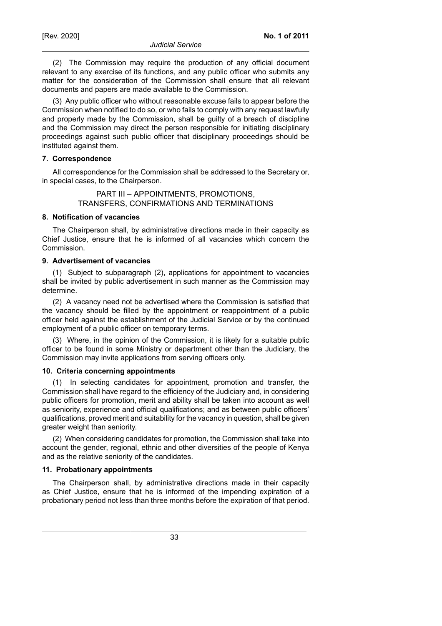(2) The Commission may require the production of any official document relevant to any exercise of its functions, and any public officer who submits any matter for the consideration of the Commission shall ensure that all relevant documents and papers are made available to the Commission.

(3) Any public officer who without reasonable excuse fails to appear before the Commission when notified to do so, or who fails to comply with any request lawfully and properly made by the Commission, shall be guilty of a breach of discipline and the Commission may direct the person responsible for initiating disciplinary proceedings against such public officer that disciplinary proceedings should be instituted against them.

#### **7. Correspondence**

All correspondence for the Commission shall be addressed to the Secretary or, in special cases, to the Chairperson.

> PART III – APPOINTMENTS, PROMOTIONS, TRANSFERS, CONFIRMATIONS AND TERMINATIONS

### **8. Notification of vacancies**

The Chairperson shall, by administrative directions made in their capacity as Chief Justice, ensure that he is informed of all vacancies which concern the Commission.

### **9. Advertisement of vacancies**

(1) Subject to subparagraph (2), applications for appointment to vacancies shall be invited by public advertisement in such manner as the Commission may determine.

(2) A vacancy need not be advertised where the Commission is satisfied that the vacancy should be filled by the appointment or reappointment of a public officer held against the establishment of the Judicial Service or by the continued employment of a public officer on temporary terms.

(3) Where, in the opinion of the Commission, it is likely for a suitable public officer to be found in some Ministry or department other than the Judiciary, the Commission may invite applications from serving officers only.

#### **10. Criteria concerning appointments**

(1) In selecting candidates for appointment, promotion and transfer, the Commission shall have regard to the efficiency of the Judiciary and, in considering public officers for promotion, merit and ability shall be taken into account as well as seniority, experience and official qualifications; and as between public officers' qualifications, proved merit and suitability for the vacancy in question, shall be given greater weight than seniority.

(2) When considering candidates for promotion, the Commission shall take into account the gender, regional, ethnic and other diversities of the people of Kenya and as the relative seniority of the candidates.

#### **11. Probationary appointments**

The Chairperson shall, by administrative directions made in their capacity as Chief Justice, ensure that he is informed of the impending expiration of a probationary period not less than three months before the expiration of that period.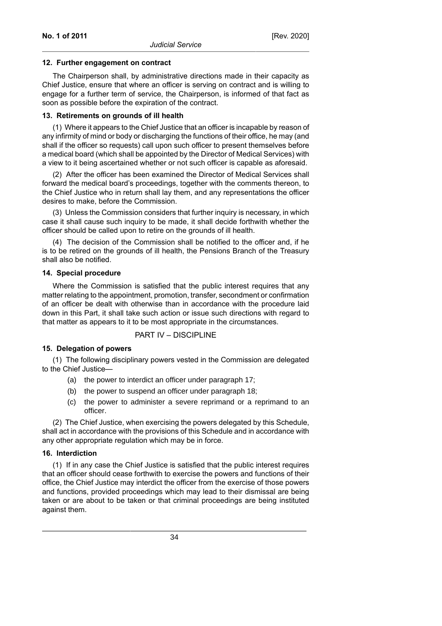### **12. Further engagement on contract**

The Chairperson shall, by administrative directions made in their capacity as Chief Justice, ensure that where an officer is serving on contract and is willing to engage for a further term of service, the Chairperson, is informed of that fact as soon as possible before the expiration of the contract.

## **13. Retirements on grounds of ill health**

(1) Where it appears to the Chief Justice that an officer is incapable by reason of any infirmity of mind or body or discharging the functions of their office, he may (and shall if the officer so requests) call upon such officer to present themselves before a medical board (which shall be appointed by the Director of Medical Services) with a view to it being ascertained whether or not such officer is capable as aforesaid.

(2) After the officer has been examined the Director of Medical Services shall forward the medical board's proceedings, together with the comments thereon, to the Chief Justice who in return shall lay them, and any representations the officer desires to make, before the Commission.

(3) Unless the Commission considers that further inquiry is necessary, in which case it shall cause such inquiry to be made, it shall decide forthwith whether the officer should be called upon to retire on the grounds of ill health.

(4) The decision of the Commission shall be notified to the officer and, if he is to be retired on the grounds of ill health, the Pensions Branch of the Treasury shall also be notified.

## **14. Special procedure**

Where the Commission is satisfied that the public interest requires that any matter relating to the appointment, promotion, transfer, secondment or confirmation of an officer be dealt with otherwise than in accordance with the procedure laid down in this Part, it shall take such action or issue such directions with regard to that matter as appears to it to be most appropriate in the circumstances.

# PART IV – DISCIPLINE

# **15. Delegation of powers**

(1) The following disciplinary powers vested in the Commission are delegated to the Chief Justice—

- (a) the power to interdict an officer under paragraph 17;
- (b) the power to suspend an officer under paragraph 18;
- (c) the power to administer a severe reprimand or a reprimand to an officer.

(2) The Chief Justice, when exercising the powers delegated by this Schedule, shall act in accordance with the provisions of this Schedule and in accordance with any other appropriate regulation which may be in force.

# **16. Interdiction**

(1) If in any case the Chief Justice is satisfied that the public interest requires that an officer should cease forthwith to exercise the powers and functions of their office, the Chief Justice may interdict the officer from the exercise of those powers and functions, provided proceedings which may lead to their dismissal are being taken or are about to be taken or that criminal proceedings are being instituted against them.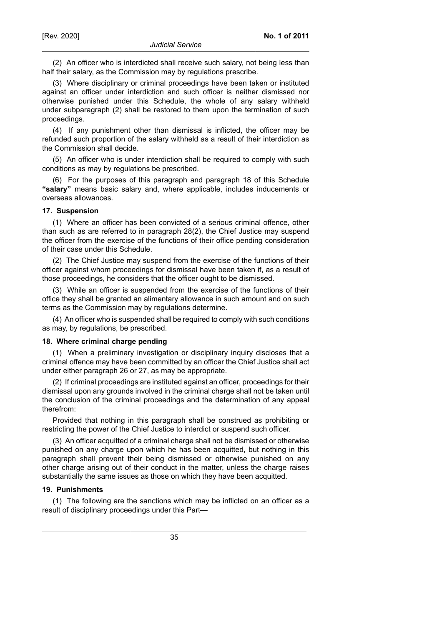(2) An officer who is interdicted shall receive such salary, not being less than half their salary, as the Commission may by regulations prescribe.

(3) Where disciplinary or criminal proceedings have been taken or instituted against an officer under interdiction and such officer is neither dismissed nor otherwise punished under this Schedule, the whole of any salary withheld under subparagraph (2) shall be restored to them upon the termination of such proceedings.

(4) If any punishment other than dismissal is inflicted, the officer may be refunded such proportion of the salary withheld as a result of their interdiction as the Commission shall decide.

(5) An officer who is under interdiction shall be required to comply with such conditions as may by regulations be prescribed.

(6) For the purposes of this paragraph and paragraph 18 of this Schedule **"salary"** means basic salary and, where applicable, includes inducements or overseas allowances.

### **17. Suspension**

(1) Where an officer has been convicted of a serious criminal offence, other than such as are referred to in paragraph 28(2), the Chief Justice may suspend the officer from the exercise of the functions of their office pending consideration of their case under this Schedule.

(2) The Chief Justice may suspend from the exercise of the functions of their officer against whom proceedings for dismissal have been taken if, as a result of those proceedings, he considers that the officer ought to be dismissed.

(3) While an officer is suspended from the exercise of the functions of their office they shall be granted an alimentary allowance in such amount and on such terms as the Commission may by regulations determine.

(4) An officer who is suspended shall be required to comply with such conditions as may, by regulations, be prescribed.

#### **18. Where criminal charge pending**

(1) When a preliminary investigation or disciplinary inquiry discloses that a criminal offence may have been committed by an officer the Chief Justice shall act under either paragraph 26 or 27, as may be appropriate.

(2) If criminal proceedings are instituted against an officer, proceedings for their dismissal upon any grounds involved in the criminal charge shall not be taken until the conclusion of the criminal proceedings and the determination of any appeal therefrom:

Provided that nothing in this paragraph shall be construed as prohibiting or restricting the power of the Chief Justice to interdict or suspend such officer.

(3) An officer acquitted of a criminal charge shall not be dismissed or otherwise punished on any charge upon which he has been acquitted, but nothing in this paragraph shall prevent their being dismissed or otherwise punished on any other charge arising out of their conduct in the matter, unless the charge raises substantially the same issues as those on which they have been acquitted.

#### **19. Punishments**

(1) The following are the sanctions which may be inflicted on an officer as a result of disciplinary proceedings under this Part—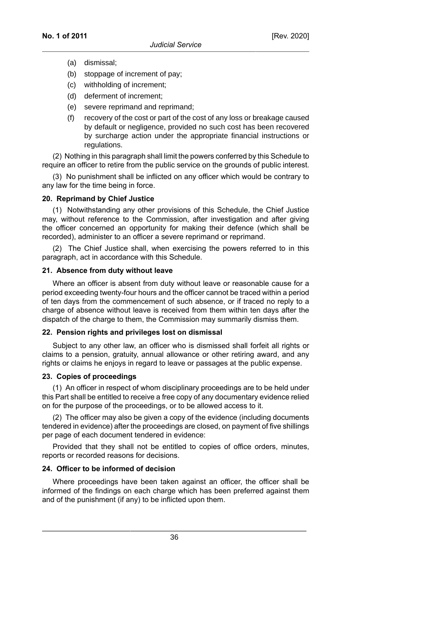- (a) dismissal;
- (b) stoppage of increment of pay;
- (c) withholding of increment;
- (d) deferment of increment;
- (e) severe reprimand and reprimand;
- (f) recovery of the cost or part of the cost of any loss or breakage caused by default or negligence, provided no such cost has been recovered by surcharge action under the appropriate financial instructions or regulations.

(2) Nothing in this paragraph shall limit the powers conferred by this Schedule to require an officer to retire from the public service on the grounds of public interest.

(3) No punishment shall be inflicted on any officer which would be contrary to any law for the time being in force.

## **20. Reprimand by Chief Justice**

(1) Notwithstanding any other provisions of this Schedule, the Chief Justice may, without reference to the Commission, after investigation and after giving the officer concerned an opportunity for making their defence (which shall be recorded), administer to an officer a severe reprimand or reprimand.

(2) The Chief Justice shall, when exercising the powers referred to in this paragraph, act in accordance with this Schedule.

#### **21. Absence from duty without leave**

Where an officer is absent from duty without leave or reasonable cause for a period exceeding twenty-four hours and the officer cannot be traced within a period of ten days from the commencement of such absence, or if traced no reply to a charge of absence without leave is received from them within ten days after the dispatch of the charge to them, the Commission may summarily dismiss them.

#### **22. Pension rights and privileges lost on dismissal**

Subject to any other law, an officer who is dismissed shall forfeit all rights or claims to a pension, gratuity, annual allowance or other retiring award, and any rights or claims he enjoys in regard to leave or passages at the public expense.

#### **23. Copies of proceedings**

(1) An officer in respect of whom disciplinary proceedings are to be held under this Part shall be entitled to receive a free copy of any documentary evidence relied on for the purpose of the proceedings, or to be allowed access to it.

(2) The officer may also be given a copy of the evidence (including documents tendered in evidence) after the proceedings are closed, on payment of five shillings per page of each document tendered in evidence:

Provided that they shall not be entitled to copies of office orders, minutes, reports or recorded reasons for decisions.

#### **24. Officer to be informed of decision**

Where proceedings have been taken against an officer, the officer shall be informed of the findings on each charge which has been preferred against them and of the punishment (if any) to be inflicted upon them.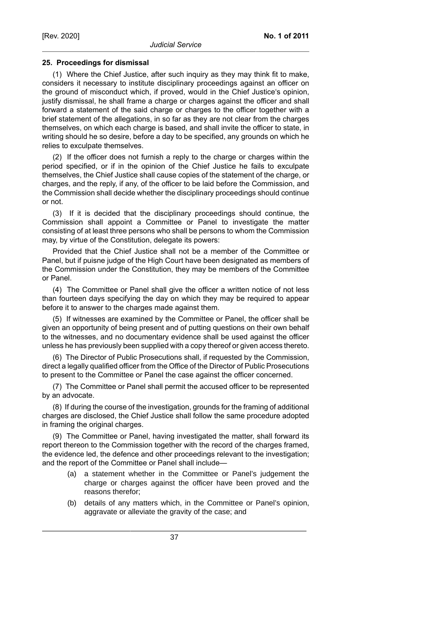#### **25. Proceedings for dismissal**

(1) Where the Chief Justice, after such inquiry as they may think fit to make, considers it necessary to institute disciplinary proceedings against an officer on the ground of misconduct which, if proved, would in the Chief Justice's opinion, justify dismissal, he shall frame a charge or charges against the officer and shall forward a statement of the said charge or charges to the officer together with a brief statement of the allegations, in so far as they are not clear from the charges themselves, on which each charge is based, and shall invite the officer to state, in writing should he so desire, before a day to be specified, any grounds on which he relies to exculpate themselves.

(2) If the officer does not furnish a reply to the charge or charges within the period specified, or if in the opinion of the Chief Justice he fails to exculpate themselves, the Chief Justice shall cause copies of the statement of the charge, or charges, and the reply, if any, of the officer to be laid before the Commission, and the Commission shall decide whether the disciplinary proceedings should continue or not.

(3) If it is decided that the disciplinary proceedings should continue, the Commission shall appoint a Committee or Panel to investigate the matter consisting of at least three persons who shall be persons to whom the Commission may, by virtue of the Constitution, delegate its powers:

Provided that the Chief Justice shall not be a member of the Committee or Panel, but if puisne judge of the High Court have been designated as members of the Commission under the Constitution, they may be members of the Committee or Panel.

(4) The Committee or Panel shall give the officer a written notice of not less than fourteen days specifying the day on which they may be required to appear before it to answer to the charges made against them.

(5) If witnesses are examined by the Committee or Panel, the officer shall be given an opportunity of being present and of putting questions on their own behalf to the witnesses, and no documentary evidence shall be used against the officer unless he has previously been supplied with a copy thereof or given access thereto.

(6) The Director of Public Prosecutions shall, if requested by the Commission, direct a legally qualified officer from the Office of the Director of Public Prosecutions to present to the Committee or Panel the case against the officer concerned.

(7) The Committee or Panel shall permit the accused officer to be represented by an advocate.

(8) If during the course of the investigation, grounds for the framing of additional charges are disclosed, the Chief Justice shall follow the same procedure adopted in framing the original charges.

(9) The Committee or Panel, having investigated the matter, shall forward its report thereon to the Commission together with the record of the charges framed, the evidence led, the defence and other proceedings relevant to the investigation; and the report of the Committee or Panel shall include—

- (a) a statement whether in the Committee or Panel's judgement the charge or charges against the officer have been proved and the reasons therefor;
- (b) details of any matters which, in the Committee or Panel's opinion, aggravate or alleviate the gravity of the case; and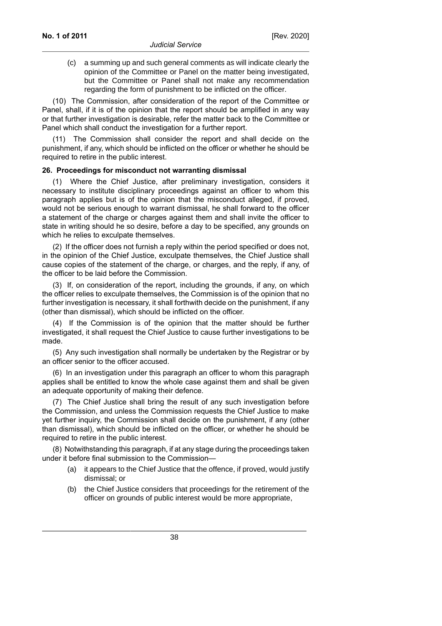(c) a summing up and such general comments as will indicate clearly the opinion of the Committee or Panel on the matter being investigated, but the Committee or Panel shall not make any recommendation regarding the form of punishment to be inflicted on the officer.

(10) The Commission, after consideration of the report of the Committee or Panel, shall, if it is of the opinion that the report should be amplified in any way or that further investigation is desirable, refer the matter back to the Committee or Panel which shall conduct the investigation for a further report.

(11) The Commission shall consider the report and shall decide on the punishment, if any, which should be inflicted on the officer or whether he should be required to retire in the public interest.

#### **26. Proceedings for misconduct not warranting dismissal**

(1) Where the Chief Justice, after preliminary investigation, considers it necessary to institute disciplinary proceedings against an officer to whom this paragraph applies but is of the opinion that the misconduct alleged, if proved, would not be serious enough to warrant dismissal, he shall forward to the officer a statement of the charge or charges against them and shall invite the officer to state in writing should he so desire, before a day to be specified, any grounds on which he relies to exculpate themselves.

(2) If the officer does not furnish a reply within the period specified or does not, in the opinion of the Chief Justice, exculpate themselves, the Chief Justice shall cause copies of the statement of the charge, or charges, and the reply, if any, of the officer to be laid before the Commission.

(3) If, on consideration of the report, including the grounds, if any, on which the officer relies to exculpate themselves, the Commission is of the opinion that no further investigation is necessary, it shall forthwith decide on the punishment, if any (other than dismissal), which should be inflicted on the officer.

(4) If the Commission is of the opinion that the matter should be further investigated, it shall request the Chief Justice to cause further investigations to be made.

(5) Any such investigation shall normally be undertaken by the Registrar or by an officer senior to the officer accused.

(6) In an investigation under this paragraph an officer to whom this paragraph applies shall be entitled to know the whole case against them and shall be given an adequate opportunity of making their defence.

(7) The Chief Justice shall bring the result of any such investigation before the Commission, and unless the Commission requests the Chief Justice to make yet further inquiry, the Commission shall decide on the punishment, if any (other than dismissal), which should be inflicted on the officer, or whether he should be required to retire in the public interest.

(8) Notwithstanding this paragraph, if at any stage during the proceedings taken under it before final submission to the Commission—

- (a) it appears to the Chief Justice that the offence, if proved, would justify dismissal; or
- (b) the Chief Justice considers that proceedings for the retirement of the officer on grounds of public interest would be more appropriate,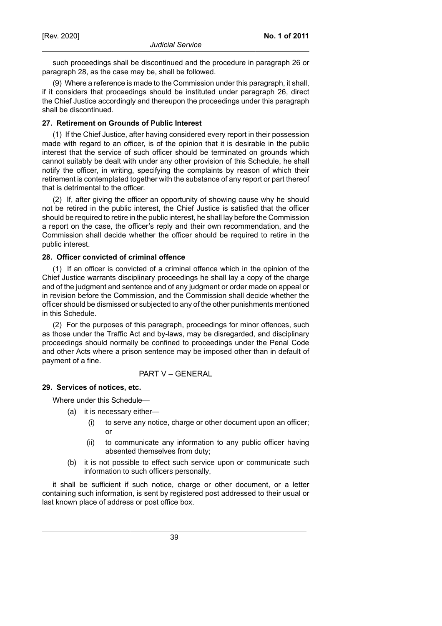such proceedings shall be discontinued and the procedure in paragraph 26 or paragraph 28, as the case may be, shall be followed.

(9) Where a reference is made to the Commission under this paragraph, it shall, if it considers that proceedings should be instituted under paragraph 26, direct the Chief Justice accordingly and thereupon the proceedings under this paragraph shall be discontinued.

# **27. Retirement on Grounds of Public Interest**

(1) If the Chief Justice, after having considered every report in their possession made with regard to an officer, is of the opinion that it is desirable in the public interest that the service of such officer should be terminated on grounds which cannot suitably be dealt with under any other provision of this Schedule, he shall notify the officer, in writing, specifying the complaints by reason of which their retirement is contemplated together with the substance of any report or part thereof that is detrimental to the officer.

(2) If, after giving the officer an opportunity of showing cause why he should not be retired in the public interest, the Chief Justice is satisfied that the officer should be required to retire in the public interest, he shall lay before the Commission a report on the case, the officer's reply and their own recommendation, and the Commission shall decide whether the officer should be required to retire in the public interest.

# **28. Officer convicted of criminal offence**

(1) If an officer is convicted of a criminal offence which in the opinion of the Chief Justice warrants disciplinary proceedings he shall lay a copy of the charge and of the judgment and sentence and of any judgment or order made on appeal or in revision before the Commission, and the Commission shall decide whether the officer should be dismissed or subjected to any of the other punishments mentioned in this Schedule.

(2) For the purposes of this paragraph, proceedings for minor offences, such as those under the Traffic Act and by-laws, may be disregarded, and disciplinary proceedings should normally be confined to proceedings under the Penal Code and other Acts where a prison sentence may be imposed other than in default of payment of a fine.

# PART V – GENERAL

#### **29. Services of notices, etc.**

Where under this Schedule—

- (a) it is necessary either—
	- (i) to serve any notice, charge or other document upon an officer; or
	- (ii) to communicate any information to any public officer having absented themselves from duty;
- (b) it is not possible to effect such service upon or communicate such information to such officers personally,

it shall be sufficient if such notice, charge or other document, or a letter containing such information, is sent by registered post addressed to their usual or last known place of address or post office box.